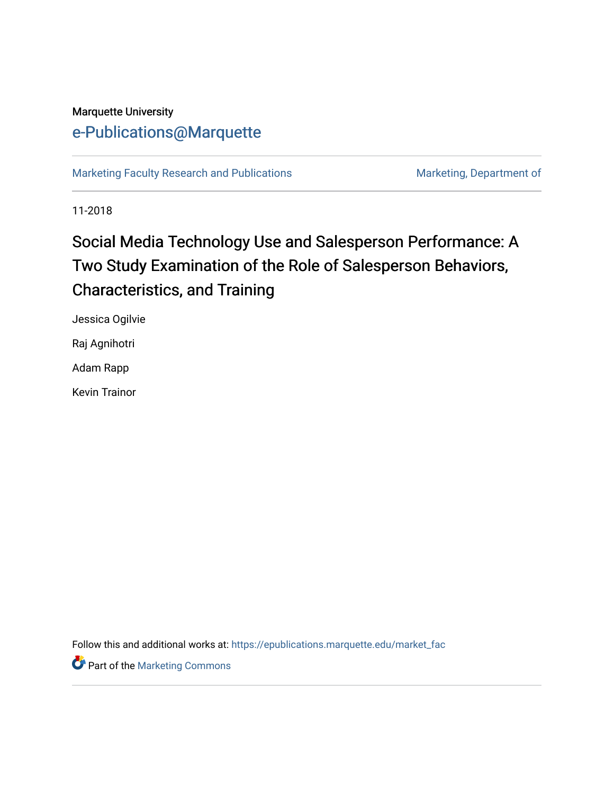# Marquette University [e-Publications@Marquette](https://epublications.marquette.edu/)

[Marketing Faculty Research and Publications](https://epublications.marquette.edu/market_fac) Marketing, Department of

11-2018

# Social Media Technology Use and Salesperson Performance: A Two Study Examination of the Role of Salesperson Behaviors, Characteristics, and Training

Jessica Ogilvie

Raj Agnihotri

Adam Rapp

Kevin Trainor

Follow this and additional works at: [https://epublications.marquette.edu/market\\_fac](https://epublications.marquette.edu/market_fac?utm_source=epublications.marquette.edu%2Fmarket_fac%2F276&utm_medium=PDF&utm_campaign=PDFCoverPages)

**Part of the [Marketing Commons](http://network.bepress.com/hgg/discipline/638?utm_source=epublications.marquette.edu%2Fmarket_fac%2F276&utm_medium=PDF&utm_campaign=PDFCoverPages)**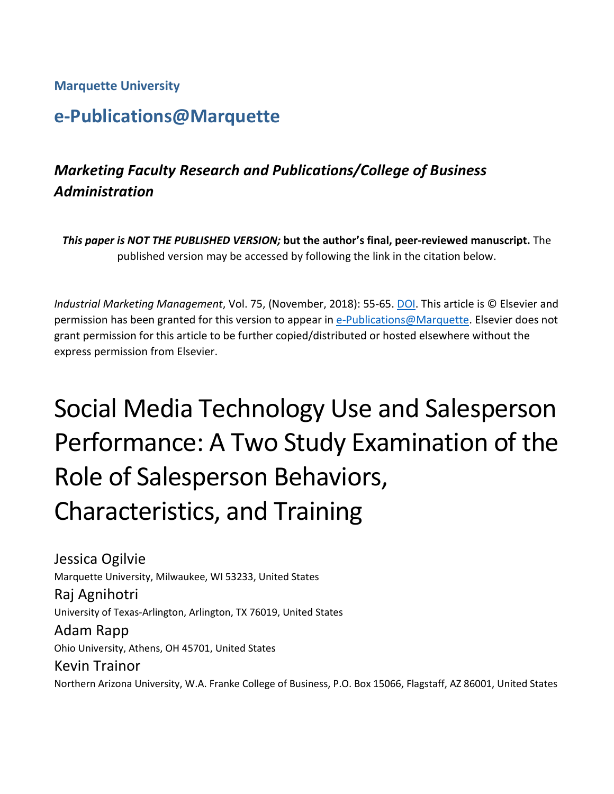## **Marquette University**

# **e-Publications@Marquette**

# *Marketing Faculty Research and Publications/College of Business Administration*

*This paper is NOT THE PUBLISHED VERSION;* **but the author's final, peer-reviewed manuscript.** The published version may be accessed by following the link in the citation below.

*Industrial Marketing Management*, Vol. 75, (November, 2018): 55-65. DOI. This article is © Elsevier and permission has been granted for this version to appear in [e-Publications@Marquette.](http://epublications.marquette.edu/) Elsevier does not grant permission for this article to be further copied/distributed or hosted elsewhere without the express permission from Elsevier.

# Social Media Technology Use and Salesperson Performance: A Two Study Examination of the Role of Salesperson Behaviors, Characteristics, and Training

Jessica Ogilvie Marquette University, Milwaukee, WI 53233, United States Raj Agnihotri University of Texas-Arlington, Arlington, TX 76019, United States Adam Rapp Ohio University, Athens, OH 45701, United States Kevin Trainor

Northern Arizona University, W.A. Franke College of Business, P.O. Box 15066, Flagstaff, AZ 86001, United States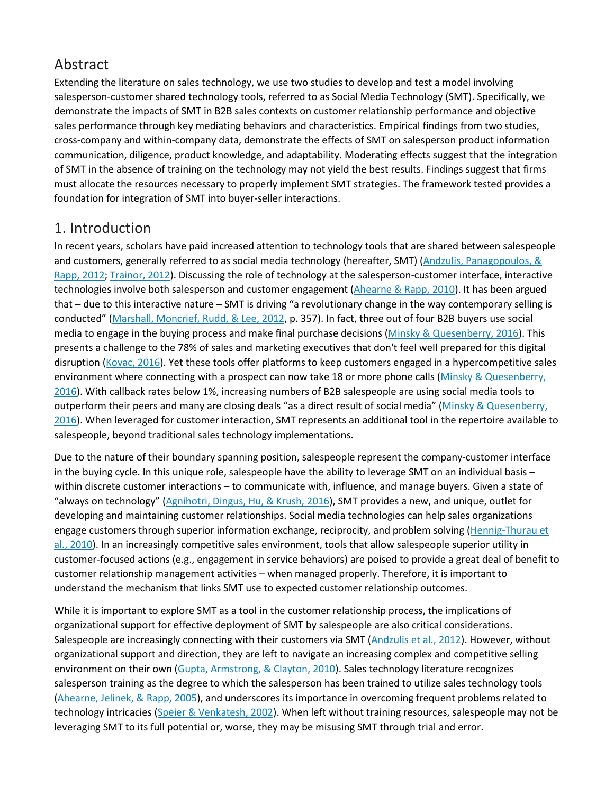# Abstract

Extending the literature on sales technology, we use two studies to develop and test a model involving salesperson-customer shared technology tools, referred to as Social Media Technology (SMT). Specifically, we demonstrate the impacts of SMT in B2B sales contexts on customer relationship performance and objective sales performance through key mediating behaviors and characteristics. Empirical findings from two studies, cross-company and within-company data, demonstrate the effects of SMT on salesperson product information communication, diligence, product knowledge, and adaptability. Moderating effects suggest that the integration of SMT in the absence of training on the technology may not yield the best results. Findings suggest that firms must allocate the resources necessary to properly implement SMT strategies. The framework tested provides a foundation for integration of SMT into buyer-seller interactions.

## 1. Introduction

In recent years, scholars have paid increased attention to technology tools that are shared between salespeople and customers, generally referred to as social media technology (hereafter, SMT) [\(Andzulis, Panagopoulos, &](https://0-www-sciencedirect-com.libus.csd.mu.edu/science/article/pii/S0019850117305436#bb0055)  [Rapp, 2012;](https://0-www-sciencedirect-com.libus.csd.mu.edu/science/article/pii/S0019850117305436#bb0055) [Trainor, 2012\)](https://0-www-sciencedirect-com.libus.csd.mu.edu/science/article/pii/S0019850117305436#bb0390). Discussing the role of technology at the salesperson-customer interface, interactive technologies involve both salesperson and customer engagement [\(Ahearne & Rapp, 2010\)](https://0-www-sciencedirect-com.libus.csd.mu.edu/science/article/pii/S0019850117305436#bb0035). It has been argued that – due to this interactive nature – SMT is driving "a revolutionary change in the way contemporary selling is conducted" [\(Marshall, Moncrief, Rudd, & Lee, 2012,](https://0-www-sciencedirect-com.libus.csd.mu.edu/science/article/pii/S0019850117305436#bb0240) p. 357). In fact, three out of four B2B buyers use social media to engage in the buying process and make final purchase decisions [\(Minsky & Quesenberry, 2016\)](https://0-www-sciencedirect-com.libus.csd.mu.edu/science/article/pii/S0019850117305436#bb0250). This presents a challenge to the 78% of sales and marketing executives that don't feel well prepared for this digital disruption [\(Kovac, 2016\)](https://0-www-sciencedirect-com.libus.csd.mu.edu/science/article/pii/S0019850117305436#bb0220). Yet these tools offer platforms to keep customers engaged in a hypercompetitive sales environment where connecting with a prospect can now take 18 or more phone calls [\(Minsky & Quesenberry,](https://0-www-sciencedirect-com.libus.csd.mu.edu/science/article/pii/S0019850117305436#bb0250)  [2016\)](https://0-www-sciencedirect-com.libus.csd.mu.edu/science/article/pii/S0019850117305436#bb0250). With callback rates below 1%, increasing numbers of B2B salespeople are using social media tools to outperform their peers and many are closing deals "as a direct result of social media" [\(Minsky & Quesenberry,](https://0-www-sciencedirect-com.libus.csd.mu.edu/science/article/pii/S0019850117305436#bb0250)  [2016\)](https://0-www-sciencedirect-com.libus.csd.mu.edu/science/article/pii/S0019850117305436#bb0250). When leveraged for customer interaction, SMT represents an additional tool in the repertoire available to salespeople, beyond traditional sales technology implementations.

Due to the nature of their boundary spanning position, salespeople represent the company-customer interface in the buying cycle. In this unique role, salespeople have the ability to leverage SMT on an individual basis – within discrete customer interactions – to communicate with, influence, and manage buyers. Given a state of "always on technology" [\(Agnihotri, Dingus, Hu, & Krush, 2016\)](https://0-www-sciencedirect-com.libus.csd.mu.edu/science/article/pii/S0019850117305436#bb0005), SMT provides a new, and unique, outlet for developing and maintaining customer relationships. Social media technologies can help sales organizations engage customers through superior information exchange, reciprocity, and problem solving [\(Hennig-Thurau et](https://0-www-sciencedirect-com.libus.csd.mu.edu/science/article/pii/S0019850117305436#bb0170)  [al., 2010\)](https://0-www-sciencedirect-com.libus.csd.mu.edu/science/article/pii/S0019850117305436#bb0170). In an increasingly competitive sales environment, tools that allow salespeople superior utility in customer-focused actions (e.g., engagement in service behaviors) are poised to provide a great deal of benefit to customer relationship management activities – when managed properly. Therefore, it is important to understand the mechanism that links SMT use to expected customer relationship outcomes.

While it is important to explore SMT as a tool in the customer relationship process, the implications of organizational support for effective deployment of SMT by salespeople are also critical considerations. Salespeople are increasingly connecting with their customers via SMT [\(Andzulis et al., 2012\)](https://0-www-sciencedirect-com.libus.csd.mu.edu/science/article/pii/S0019850117305436#bb0055). However, without organizational support and direction, they are left to navigate an increasing complex and competitive selling environment on their own [\(Gupta, Armstrong, & Clayton, 2010\)](https://0-www-sciencedirect-com.libus.csd.mu.edu/science/article/pii/S0019850117305436#bb0160). Sales technology literature recognizes salesperson training as the degree to which the salesperson has been trained to utilize sales technology tools [\(Ahearne, Jelinek, & Rapp, 2005\)](https://0-www-sciencedirect-com.libus.csd.mu.edu/science/article/pii/S0019850117305436#bb0025), and underscores its importance in overcoming frequent problems related to technology intricacies [\(Speier & Venkatesh, 2002\)](https://0-www-sciencedirect-com.libus.csd.mu.edu/science/article/pii/S0019850117305436#bb0355). When left without training resources, salespeople may not be leveraging SMT to its full potential or, worse, they may be misusing SMT through trial and error.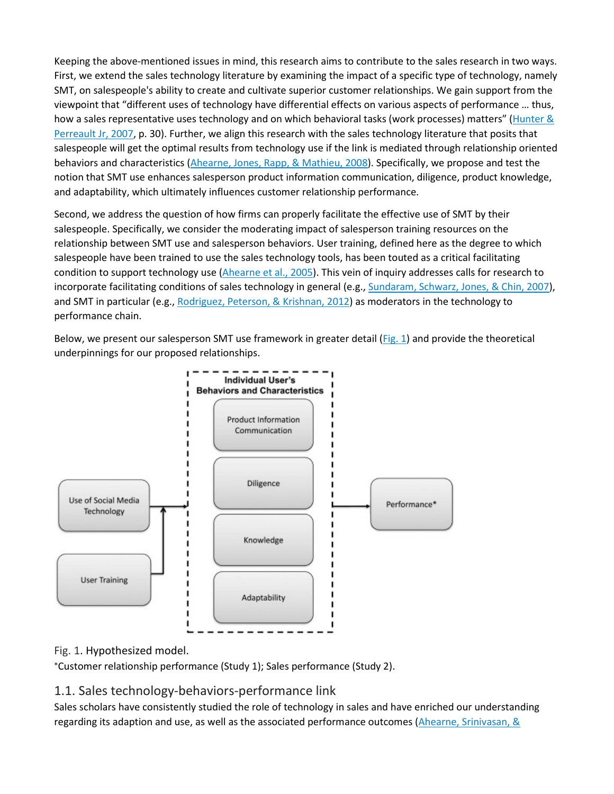Keeping the above-mentioned issues in mind, this research aims to contribute to the sales research in two ways. First, we extend the sales technology literature by examining the impact of a specific type of technology, namely SMT, on salespeople's ability to create and cultivate superior customer relationships. We gain support from the viewpoint that "different uses of technology have differential effects on various aspects of performance … thus, how a sales representative uses technology and on which behavioral tasks (work processes) matters" (Hunter & [Perreault Jr, 2007,](https://0-www-sciencedirect-com.libus.csd.mu.edu/science/article/pii/S0019850117305436#bb0180) p. 30). Further, we align this research with the sales technology literature that posits that salespeople will get the optimal results from technology use if the link is mediated through relationship oriented behaviors and characteristics [\(Ahearne, Jones, Rapp, & Mathieu, 2008\)](https://0-www-sciencedirect-com.libus.csd.mu.edu/science/article/pii/S0019850117305436#bb0030). Specifically, we propose and test the notion that SMT use enhances salesperson product information communication, diligence, product knowledge, and adaptability, which ultimately influences customer relationship performance.

Second, we address the question of how firms can properly facilitate the effective use of SMT by their salespeople. Specifically, we consider the moderating impact of salesperson training resources on the relationship between SMT use and salesperson behaviors. User training, defined here as the degree to which salespeople have been trained to use the sales technology tools, has been touted as a critical facilitating condition to support technology use [\(Ahearne et al., 2005\)](https://0-www-sciencedirect-com.libus.csd.mu.edu/science/article/pii/S0019850117305436#bb0025). This vein of inquiry addresses calls for research to incorporate facilitating conditions of sales technology in general (e.g., [Sundaram, Schwarz, Jones, & Chin, 2007\)](https://0-www-sciencedirect-com.libus.csd.mu.edu/science/article/pii/S0019850117305436#bb0380), and SMT in particular (e.g., [Rodriguez, Peterson, & Krishnan, 2012\)](https://0-www-sciencedirect-com.libus.csd.mu.edu/science/article/pii/S0019850117305436#bb0330) as moderators in the technology to performance chain.

Below, we present our salesperson SMT use framework in greater detail [\(Fig. 1\)](https://0-www-sciencedirect-com.libus.csd.mu.edu/science/article/pii/S0019850117305436#f0005) and provide the theoretical underpinnings for our proposed relationships.



## Fig. 1. Hypothesized model.

⁎ Customer relationship performance (Study 1); Sales performance (Study 2).

## 1.1. Sales technology-behaviors-performance link

Sales scholars have consistently studied the role of technology in sales and have enriched our understanding regarding its adaption and use, as well as the associated performance outcomes (Ahearne, Srinivasan, &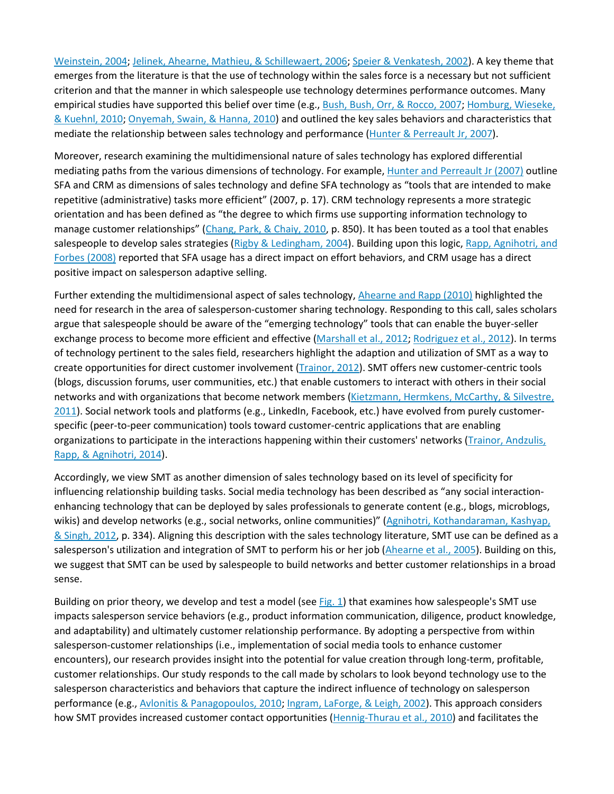[Weinstein, 2004;](https://0-www-sciencedirect-com.libus.csd.mu.edu/science/article/pii/S0019850117305436#bb0040) [Jelinek, Ahearne, Mathieu, & Schillewaert, 2006;](https://0-www-sciencedirect-com.libus.csd.mu.edu/science/article/pii/S0019850117305436#bb0200) [Speier & Venkatesh, 2002\)](https://0-www-sciencedirect-com.libus.csd.mu.edu/science/article/pii/S0019850117305436#bb0355). A key theme that emerges from the literature is that the use of technology within the sales force is a necessary but not sufficient criterion and that the manner in which salespeople use technology determines performance outcomes. Many empirical studies have supported this belief over time (e.g., [Bush, Bush, Orr, & Rocco, 2007;](https://0-www-sciencedirect-com.libus.csd.mu.edu/science/article/pii/S0019850117305436#bb0100) Homburg, Wieseke, [& Kuehnl, 2010;](https://0-www-sciencedirect-com.libus.csd.mu.edu/science/article/pii/S0019850117305436#bb0175) [Onyemah, Swain, & Hanna, 2010\)](https://0-www-sciencedirect-com.libus.csd.mu.edu/science/article/pii/S0019850117305436#bb0270) and outlined the key sales behaviors and characteristics that mediate the relationship between sales technology and performance [\(Hunter & Perreault Jr, 2007\)](https://0-www-sciencedirect-com.libus.csd.mu.edu/science/article/pii/S0019850117305436#bb0180).

Moreover, research examining the multidimensional nature of sales technology has explored differential mediating paths from the various dimensions of technology. For example, [Hunter and Perreault Jr \(2007\)](https://0-www-sciencedirect-com.libus.csd.mu.edu/science/article/pii/S0019850117305436#bb0180) outline SFA and CRM as dimensions of sales technology and define SFA technology as "tools that are intended to make repetitive (administrative) tasks more efficient" (2007, p. 17). CRM technology represents a more strategic orientation and has been defined as "the degree to which firms use supporting information technology to manage customer relationships" [\(Chang, Park, & Chaiy, 2010,](https://0-www-sciencedirect-com.libus.csd.mu.edu/science/article/pii/S0019850117305436#bb0110) p. 850). It has been touted as a tool that enables salespeople to develop sales strategies [\(Rigby & Ledingham, 2004\)](https://0-www-sciencedirect-com.libus.csd.mu.edu/science/article/pii/S0019850117305436#bb0320). Building upon this logic, Rapp, Agnihotri, and [Forbes \(2008\)](https://0-www-sciencedirect-com.libus.csd.mu.edu/science/article/pii/S0019850117305436#bb0305) reported that SFA usage has a direct impact on effort behaviors, and CRM usage has a direct positive impact on salesperson adaptive selling.

Further extending the multidimensional aspect of sales technology, [Ahearne and Rapp \(2010\)](https://0-www-sciencedirect-com.libus.csd.mu.edu/science/article/pii/S0019850117305436#bb0035) highlighted the need for research in the area of salesperson-customer sharing technology. Responding to this call, sales scholars argue that salespeople should be aware of the "emerging technology" tools that can enable the buyer-seller exchange process to become more efficient and effective [\(Marshall et al., 2012;](https://0-www-sciencedirect-com.libus.csd.mu.edu/science/article/pii/S0019850117305436#bb0240) [Rodriguez et al., 2012\)](https://0-www-sciencedirect-com.libus.csd.mu.edu/science/article/pii/S0019850117305436#bb0330). In terms of technology pertinent to the sales field, researchers highlight the adaption and utilization of SMT as a way to create opportunities for direct customer involvement [\(Trainor, 2012\)](https://0-www-sciencedirect-com.libus.csd.mu.edu/science/article/pii/S0019850117305436#bb0390). SMT offers new customer-centric tools (blogs, discussion forums, user communities, etc.) that enable customers to interact with others in their social networks and with organizations that become network members [\(Kietzmann, Hermkens, McCarthy, & Silvestre,](https://0-www-sciencedirect-com.libus.csd.mu.edu/science/article/pii/S0019850117305436#bb0215)  [2011\)](https://0-www-sciencedirect-com.libus.csd.mu.edu/science/article/pii/S0019850117305436#bb0215). Social network tools and platforms (e.g., LinkedIn, Facebook, etc.) have evolved from purely customerspecific (peer-to-peer communication) tools toward customer-centric applications that are enabling organizations to participate in the interactions happening within their customers' networks [\(Trainor, Andzulis,](https://0-www-sciencedirect-com.libus.csd.mu.edu/science/article/pii/S0019850117305436#bb0395)  [Rapp, & Agnihotri, 2014\)](https://0-www-sciencedirect-com.libus.csd.mu.edu/science/article/pii/S0019850117305436#bb0395).

Accordingly, we view SMT as another dimension of sales technology based on its level of specificity for influencing relationship building tasks. Social media technology has been described as "any social interactionenhancing technology that can be deployed by sales professionals to generate content (e.g., blogs, microblogs, wikis) and develop networks (e.g., social networks, online communities)" [\(Agnihotri, Kothandaraman, Kashyap,](https://0-www-sciencedirect-com.libus.csd.mu.edu/science/article/pii/S0019850117305436#bb0010)  [& Singh, 2012,](https://0-www-sciencedirect-com.libus.csd.mu.edu/science/article/pii/S0019850117305436#bb0010) p. 334). Aligning this description with the sales technology literature, SMT use can be defined as a salesperson's utilization and integration of SMT to perform his or her job [\(Ahearne et al., 2005\)](https://0-www-sciencedirect-com.libus.csd.mu.edu/science/article/pii/S0019850117305436#bb0025). Building on this, we suggest that SMT can be used by salespeople to build networks and better customer relationships in a broad sense.

Building on prior theory, we develop and test a model (see [Fig. 1\)](https://0-www-sciencedirect-com.libus.csd.mu.edu/science/article/pii/S0019850117305436#f0005) that examines how salespeople's SMT use impacts salesperson service behaviors (e.g., product information communication, diligence, product knowledge, and adaptability) and ultimately customer relationship performance. By adopting a perspective from within salesperson-customer relationships (i.e., implementation of social media tools to enhance customer encounters), our research provides insight into the potential for value creation through long-term, profitable, customer relationships. Our study responds to the call made by scholars to look beyond technology use to the salesperson characteristics and behaviors that capture the indirect influence of technology on salesperson performance (e.g., [Avlonitis & Panagopoulos, 2010;](https://0-www-sciencedirect-com.libus.csd.mu.edu/science/article/pii/S0019850117305436#bb0065) [Ingram, LaForge, & Leigh, 2002\)](https://0-www-sciencedirect-com.libus.csd.mu.edu/science/article/pii/S0019850117305436#bb0185). This approach considers how SMT provides increased customer contact opportunities [\(Hennig-Thurau et al., 2010\)](https://0-www-sciencedirect-com.libus.csd.mu.edu/science/article/pii/S0019850117305436#bb0170) and facilitates the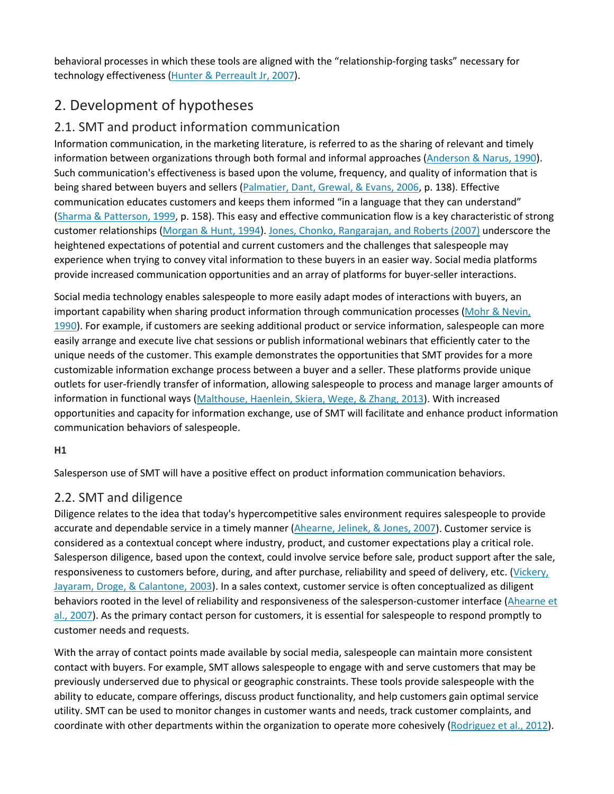behavioral processes in which these tools are aligned with the "relationship-forging tasks" necessary for technology effectiveness [\(Hunter & Perreault Jr, 2007\)](https://0-www-sciencedirect-com.libus.csd.mu.edu/science/article/pii/S0019850117305436#bb0180).

# 2. Development of hypotheses

## 2.1. SMT and product information communication

Information communication, in the marketing literature, is referred to as the sharing of relevant and timely information between organizations through both formal and informal approaches [\(Anderson & Narus, 1990\)](https://0-www-sciencedirect-com.libus.csd.mu.edu/science/article/pii/S0019850117305436#bb0050). Such communication's effectiveness is based upon the volume, frequency, and quality of information that is being shared between buyers and sellers [\(Palmatier, Dant, Grewal, & Evans, 2006,](https://0-www-sciencedirect-com.libus.csd.mu.edu/science/article/pii/S0019850117305436#bb0275) p. 138). Effective communication educates customers and keeps them informed "in a language that they can understand" [\(Sharma & Patterson, 1999,](https://0-www-sciencedirect-com.libus.csd.mu.edu/science/article/pii/S0019850117305436#bb0350) p. 158). This easy and effective communication flow is a key characteristic of strong customer relationships [\(Morgan & Hunt, 1994\)](https://0-www-sciencedirect-com.libus.csd.mu.edu/science/article/pii/S0019850117305436#bb0260). [Jones, Chonko, Rangarajan, and Roberts \(2007\)](https://0-www-sciencedirect-com.libus.csd.mu.edu/science/article/pii/S0019850117305436#bb0205) underscore the heightened expectations of potential and current customers and the challenges that salespeople may experience when trying to convey vital information to these buyers in an easier way. Social media platforms provide increased communication opportunities and an array of platforms for buyer-seller interactions.

Social media technology enables salespeople to more easily adapt modes of interactions with buyers, an important capability when sharing product information through communication processes [\(Mohr & Nevin,](https://0-www-sciencedirect-com.libus.csd.mu.edu/science/article/pii/S0019850117305436#bb0255)  [1990\)](https://0-www-sciencedirect-com.libus.csd.mu.edu/science/article/pii/S0019850117305436#bb0255). For example, if customers are seeking additional product or service information, salespeople can more easily arrange and execute live chat sessions or publish informational webinars that efficiently cater to the unique needs of the customer. This example demonstrates the opportunities that SMT provides for a more customizable information exchange process between a buyer and a seller. These platforms provide unique outlets for user-friendly transfer of information, allowing salespeople to process and manage larger amounts of information in functional ways [\(Malthouse, Haenlein, Skiera, Wege, & Zhang, 2013\)](https://0-www-sciencedirect-com.libus.csd.mu.edu/science/article/pii/S0019850117305436#bb0230). With increased opportunities and capacity for information exchange, use of SMT will facilitate and enhance product information communication behaviors of salespeople.

#### **H1**

Salesperson use of SMT will have a positive effect on product information communication behaviors.

## 2.2. SMT and diligence

Diligence relates to the idea that today's hypercompetitive sales environment requires salespeople to provide accurate and dependable service in a timely manner [\(Ahearne, Jelinek, & Jones, 2007\)](https://0-www-sciencedirect-com.libus.csd.mu.edu/science/article/pii/S0019850117305436#bb0015). Customer service is considered as a contextual concept where industry, product, and customer expectations play a critical role. Salesperson diligence, based upon the context, could involve service before sale, product support after the sale, responsiveness to customers before, during, and after purchase, reliability and speed of delivery, etc. (Vickery, [Jayaram, Droge, & Calantone, 2003\)](https://0-www-sciencedirect-com.libus.csd.mu.edu/science/article/pii/S0019850117305436#bb0400). In a sales context, customer service is often conceptualized as diligent behaviors rooted in the level of reliability and responsiveness of the salesperson-customer interface (Ahearne et [al., 2007\)](https://0-www-sciencedirect-com.libus.csd.mu.edu/science/article/pii/S0019850117305436#bb0015). As the primary contact person for customers, it is essential for salespeople to respond promptly to customer needs and requests.

With the array of contact points made available by social media, salespeople can maintain more consistent contact with buyers. For example, SMT allows salespeople to engage with and serve customers that may be previously underserved due to physical or geographic constraints. These tools provide salespeople with the ability to educate, compare offerings, discuss product functionality, and help customers gain optimal service utility. SMT can be used to monitor changes in customer wants and needs, track customer complaints, and coordinate with other departments within the organization to operate more cohesively [\(Rodriguez et al., 2012\)](https://0-www-sciencedirect-com.libus.csd.mu.edu/science/article/pii/S0019850117305436#bb0330).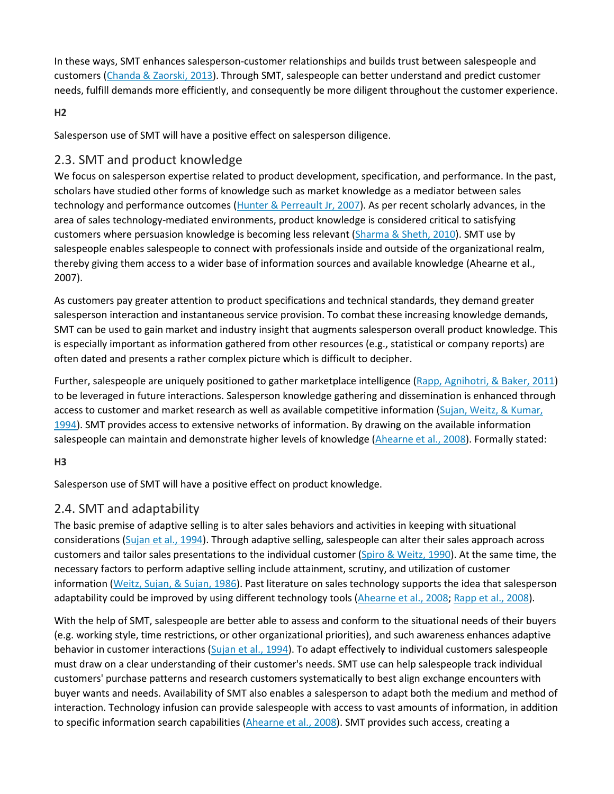In these ways, SMT enhances salesperson-customer relationships and builds trust between salespeople and customers [\(Chanda & Zaorski, 2013\)](https://0-www-sciencedirect-com.libus.csd.mu.edu/science/article/pii/S0019850117305436#bb0105). Through SMT, salespeople can better understand and predict customer needs, fulfill demands more efficiently, and consequently be more diligent throughout the customer experience.

#### **H2**

Salesperson use of SMT will have a positive effect on salesperson diligence.

## 2.3. SMT and product knowledge

We focus on salesperson expertise related to product development, specification, and performance. In the past, scholars have studied other forms of knowledge such as market knowledge as a mediator between sales technology and performance outcomes [\(Hunter & Perreault Jr, 2007\)](https://0-www-sciencedirect-com.libus.csd.mu.edu/science/article/pii/S0019850117305436#bb0180). As per recent scholarly advances, in the area of sales technology-mediated environments, product knowledge is considered critical to satisfying customers where persuasion knowledge is becoming less relevant [\(Sharma & Sheth, 2010\)](https://0-www-sciencedirect-com.libus.csd.mu.edu/science/article/pii/S0019850117305436#bb0345). SMT use by salespeople enables salespeople to connect with professionals inside and outside of the organizational realm, thereby giving them access to a wider base of information sources and available knowledge (Ahearne et al., 2007).

As customers pay greater attention to product specifications and technical standards, they demand greater salesperson interaction and instantaneous service provision. To combat these increasing knowledge demands, SMT can be used to gain market and industry insight that augments salesperson overall product knowledge. This is especially important as information gathered from other resources (e.g., statistical or company reports) are often dated and presents a rather complex picture which is difficult to decipher.

Further, salespeople are uniquely positioned to gather marketplace intelligence [\(Rapp, Agnihotri, & Baker, 2011\)](https://0-www-sciencedirect-com.libus.csd.mu.edu/science/article/pii/S0019850117305436#bb0295) to be leveraged in future interactions. Salesperson knowledge gathering and dissemination is enhanced through access to customer and market research as well as available competitive information [\(Sujan, Weitz, & Kumar,](https://0-www-sciencedirect-com.libus.csd.mu.edu/science/article/pii/S0019850117305436#bb0375)  [1994\)](https://0-www-sciencedirect-com.libus.csd.mu.edu/science/article/pii/S0019850117305436#bb0375). SMT provides access to extensive networks of information. By drawing on the available information salespeople can maintain and demonstrate higher levels of knowledge [\(Ahearne et al., 2008\)](https://0-www-sciencedirect-com.libus.csd.mu.edu/science/article/pii/S0019850117305436#bb0030). Formally stated:

#### **H3**

Salesperson use of SMT will have a positive effect on product knowledge.

## 2.4. SMT and adaptability

The basic premise of adaptive selling is to alter sales behaviors and activities in keeping with situational considerations [\(Sujan et al., 1994\)](https://0-www-sciencedirect-com.libus.csd.mu.edu/science/article/pii/S0019850117305436#bb0375). Through adaptive selling, salespeople can alter their sales approach across customers and tailor sales presentations to the individual customer [\(Spiro & Weitz, 1990\)](https://0-www-sciencedirect-com.libus.csd.mu.edu/science/article/pii/S0019850117305436#bb0360). At the same time, the necessary factors to perform adaptive selling include attainment, scrutiny, and utilization of customer information [\(Weitz, Sujan, & Sujan, 1986\)](https://0-www-sciencedirect-com.libus.csd.mu.edu/science/article/pii/S0019850117305436#bb0405). Past literature on sales technology supports the idea that salesperson adaptability could be improved by using different technology tools [\(Ahearne et al., 2008;](https://0-www-sciencedirect-com.libus.csd.mu.edu/science/article/pii/S0019850117305436#bb0030) [Rapp et al., 2008\)](https://0-www-sciencedirect-com.libus.csd.mu.edu/science/article/pii/S0019850117305436#bb0305).

With the help of SMT, salespeople are better able to assess and conform to the situational needs of their buyers (e.g. working style, time restrictions, or other organizational priorities), and such awareness enhances adaptive behavior in customer interactions [\(Sujan et al., 1994\)](https://0-www-sciencedirect-com.libus.csd.mu.edu/science/article/pii/S0019850117305436#bb0375). To adapt effectively to individual customers salespeople must draw on a clear understanding of their customer's needs. SMT use can help salespeople track individual customers' purchase patterns and research customers systematically to best align exchange encounters with buyer wants and needs. Availability of SMT also enables a salesperson to adapt both the medium and method of interaction. Technology infusion can provide salespeople with access to vast amounts of information, in addition to specific information search capabilities [\(Ahearne et al., 2008\)](https://0-www-sciencedirect-com.libus.csd.mu.edu/science/article/pii/S0019850117305436#bb0030). SMT provides such access, creating a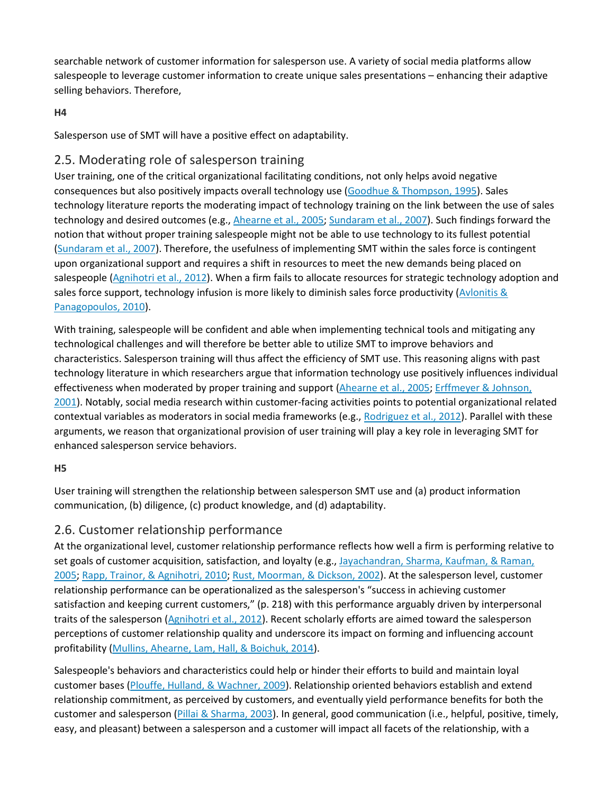searchable network of customer information for salesperson use. A variety of social media platforms allow salespeople to leverage customer information to create unique sales presentations – enhancing their adaptive selling behaviors. Therefore,

#### **H4**

Salesperson use of SMT will have a positive effect on adaptability.

## 2.5. Moderating role of salesperson training

User training, one of the critical organizational facilitating conditions, not only helps avoid negative consequences but also positively impacts overall technology use [\(Goodhue & Thompson, 1995\)](https://0-www-sciencedirect-com.libus.csd.mu.edu/science/article/pii/S0019850117305436#bb0150). Sales technology literature reports the moderating impact of technology training on the link between the use of sales technology and desired outcomes (e.g., [Ahearne et al., 2005;](https://0-www-sciencedirect-com.libus.csd.mu.edu/science/article/pii/S0019850117305436#bb0025) [Sundaram et al., 2007\)](https://0-www-sciencedirect-com.libus.csd.mu.edu/science/article/pii/S0019850117305436#bb0380). Such findings forward the notion that without proper training salespeople might not be able to use technology to its fullest potential [\(Sundaram et al., 2007\)](https://0-www-sciencedirect-com.libus.csd.mu.edu/science/article/pii/S0019850117305436#bb0380). Therefore, the usefulness of implementing SMT within the sales force is contingent upon organizational support and requires a shift in resources to meet the new demands being placed on salespeople [\(Agnihotri et al., 2012\)](https://0-www-sciencedirect-com.libus.csd.mu.edu/science/article/pii/S0019850117305436#bb0010). When a firm fails to allocate resources for strategic technology adoption and sales force support, technology infusion is more likely to diminish sales force productivity (Avlonitis  $\&$ [Panagopoulos, 2010\)](https://0-www-sciencedirect-com.libus.csd.mu.edu/science/article/pii/S0019850117305436#bb0065).

With training, salespeople will be confident and able when implementing technical tools and mitigating any technological challenges and will therefore be better able to utilize SMT to improve behaviors and characteristics. Salesperson training will thus affect the efficiency of SMT use. This reasoning aligns with past technology literature in which researchers argue that information technology use positively influences individual effectiveness when moderated by proper training and support [\(Ahearne et al., 2005;](https://0-www-sciencedirect-com.libus.csd.mu.edu/science/article/pii/S0019850117305436#bb0025) [Erffmeyer & Johnson,](https://0-www-sciencedirect-com.libus.csd.mu.edu/science/article/pii/S0019850117305436#bb0130)  [2001\)](https://0-www-sciencedirect-com.libus.csd.mu.edu/science/article/pii/S0019850117305436#bb0130). Notably, social media research within customer-facing activities points to potential organizational related contextual variables as moderators in social media frameworks (e.g., [Rodriguez et al., 2012\)](https://0-www-sciencedirect-com.libus.csd.mu.edu/science/article/pii/S0019850117305436#bb0330). Parallel with these arguments, we reason that organizational provision of user training will play a key role in leveraging SMT for enhanced salesperson service behaviors.

#### **H5**

User training will strengthen the relationship between salesperson SMT use and (a) product information communication, (b) diligence, (c) product knowledge, and (d) adaptability.

## 2.6. Customer relationship performance

At the organizational level, customer relationship performance reflects how well a firm is performing relative to set goals of customer acquisition, satisfaction, and loyalty (e.g., Jayachandran, Sharma, Kaufman, & Raman, [2005;](https://0-www-sciencedirect-com.libus.csd.mu.edu/science/article/pii/S0019850117305436#bb0195) [Rapp, Trainor, & Agnihotri, 2010;](https://0-www-sciencedirect-com.libus.csd.mu.edu/science/article/pii/S0019850117305436#bb0310) [Rust, Moorman, & Dickson, 2002\)](https://0-www-sciencedirect-com.libus.csd.mu.edu/science/article/pii/S0019850117305436#bb0335). At the salesperson level, customer relationship performance can be operationalized as the salesperson's "success in achieving customer satisfaction and keeping current customers," (p. 218) with this performance arguably driven by interpersonal traits of the salesperson [\(Agnihotri et al., 2012\)](https://0-www-sciencedirect-com.libus.csd.mu.edu/science/article/pii/S0019850117305436#bb0010). Recent scholarly efforts are aimed toward the salesperson perceptions of customer relationship quality and underscore its impact on forming and influencing account profitability [\(Mullins, Ahearne, Lam, Hall, & Boichuk, 2014\)](https://0-www-sciencedirect-com.libus.csd.mu.edu/science/article/pii/S0019850117305436#bb0265).

Salespeople's behaviors and characteristics could help or hinder their efforts to build and maintain loyal customer bases [\(Plouffe, Hulland, & Wachner, 2009\)](https://0-www-sciencedirect-com.libus.csd.mu.edu/science/article/pii/S0019850117305436#bb0285). Relationship oriented behaviors establish and extend relationship commitment, as perceived by customers, and eventually yield performance benefits for both the customer and salesperson [\(Pillai & Sharma, 2003\)](https://0-www-sciencedirect-com.libus.csd.mu.edu/science/article/pii/S0019850117305436#bb0280). In general, good communication (i.e., helpful, positive, timely, easy, and pleasant) between a salesperson and a customer will impact all facets of the relationship, with a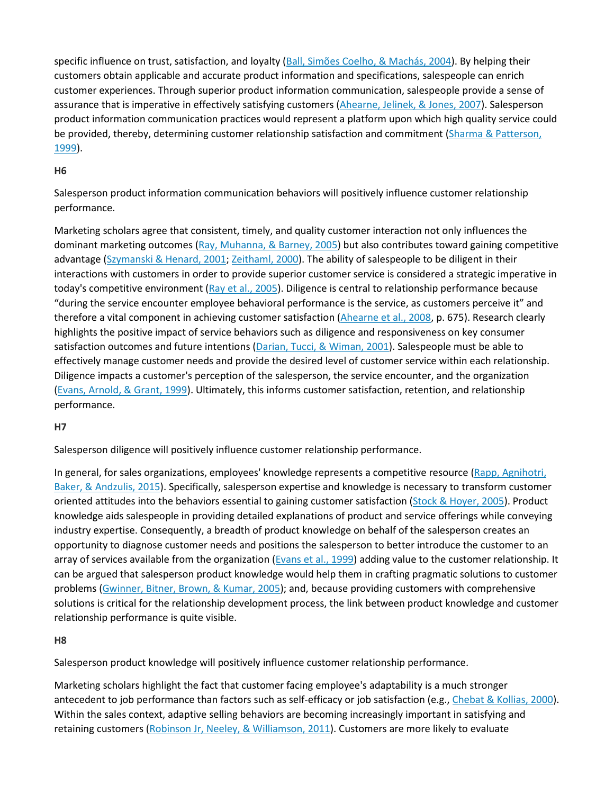specific influence on trust, satisfaction, and loyalty [\(Ball, Simões Coelho, & Machás, 2004\)](https://0-www-sciencedirect-com.libus.csd.mu.edu/science/article/pii/S0019850117305436#bb0075). By helping their customers obtain applicable and accurate product information and specifications, salespeople can enrich customer experiences. Through superior product information communication, salespeople provide a sense of assurance that is imperative in effectively satisfying customers [\(Ahearne, Jelinek, & Jones, 2007\)](https://0-www-sciencedirect-com.libus.csd.mu.edu/science/article/pii/S0019850117305436#bb0020). Salesperson product information communication practices would represent a platform upon which high quality service could be provided, thereby, determining customer relationship satisfaction and commitment [\(Sharma & Patterson,](https://0-www-sciencedirect-com.libus.csd.mu.edu/science/article/pii/S0019850117305436#bb0350)  [1999\)](https://0-www-sciencedirect-com.libus.csd.mu.edu/science/article/pii/S0019850117305436#bb0350).

#### **H6**

Salesperson product information communication behaviors will positively influence customer relationship performance.

Marketing scholars agree that consistent, timely, and quality customer interaction not only influences the dominant marketing outcomes [\(Ray, Muhanna, & Barney, 2005\)](https://0-www-sciencedirect-com.libus.csd.mu.edu/science/article/pii/S0019850117305436#bb0315) but also contributes toward gaining competitive advantage [\(Szymanski & Henard, 2001;](https://0-www-sciencedirect-com.libus.csd.mu.edu/science/article/pii/S0019850117305436#bb0385) [Zeithaml, 2000\)](https://0-www-sciencedirect-com.libus.csd.mu.edu/science/article/pii/S0019850117305436#bb0410). The ability of salespeople to be diligent in their interactions with customers in order to provide superior customer service is considered a strategic imperative in today's competitive environment [\(Ray et al., 2005\)](https://0-www-sciencedirect-com.libus.csd.mu.edu/science/article/pii/S0019850117305436#bb0315). Diligence is central to relationship performance because "during the service encounter employee behavioral performance is the service, as customers perceive it" and therefore a vital component in achieving customer satisfaction [\(Ahearne et al., 2008,](https://0-www-sciencedirect-com.libus.csd.mu.edu/science/article/pii/S0019850117305436#bb0030) p. 675). Research clearly highlights the positive impact of service behaviors such as diligence and responsiveness on key consumer satisfaction outcomes and future intentions [\(Darian, Tucci, & Wiman, 2001\)](https://0-www-sciencedirect-com.libus.csd.mu.edu/science/article/pii/S0019850117305436#bb0125). Salespeople must be able to effectively manage customer needs and provide the desired level of customer service within each relationship. Diligence impacts a customer's perception of the salesperson, the service encounter, and the organization [\(Evans, Arnold, & Grant, 1999\)](https://0-www-sciencedirect-com.libus.csd.mu.edu/science/article/pii/S0019850117305436#bb0135). Ultimately, this informs customer satisfaction, retention, and relationship performance.

#### **H7**

Salesperson diligence will positively influence customer relationship performance.

In general, for sales organizations, employees' knowledge represents a competitive resource (Rapp, Agnihotri, [Baker, & Andzulis, 2015\)](https://0-www-sciencedirect-com.libus.csd.mu.edu/science/article/pii/S0019850117305436#bb0300). Specifically, salesperson expertise and knowledge is necessary to transform customer oriented attitudes into the behaviors essential to gaining customer satisfaction [\(Stock & Hoyer, 2005\)](https://0-www-sciencedirect-com.libus.csd.mu.edu/science/article/pii/S0019850117305436#bb0370). Product knowledge aids salespeople in providing detailed explanations of product and service offerings while conveying industry expertise. Consequently, a breadth of product knowledge on behalf of the salesperson creates an opportunity to diagnose customer needs and positions the salesperson to better introduce the customer to an array of services available from the organization [\(Evans et al., 1999\)](https://0-www-sciencedirect-com.libus.csd.mu.edu/science/article/pii/S0019850117305436#bb0135) adding value to the customer relationship. It can be argued that salesperson product knowledge would help them in crafting pragmatic solutions to customer problems [\(Gwinner, Bitner, Brown, & Kumar, 2005\)](https://0-www-sciencedirect-com.libus.csd.mu.edu/science/article/pii/S0019850117305436#bb0165); and, because providing customers with comprehensive solutions is critical for the relationship development process, the link between product knowledge and customer relationship performance is quite visible.

#### **H8**

Salesperson product knowledge will positively influence customer relationship performance.

Marketing scholars highlight the fact that customer facing employee's adaptability is a much stronger antecedent to job performance than factors such as self-efficacy or job satisfaction (e.g., [Chebat & Kollias, 2000\)](https://0-www-sciencedirect-com.libus.csd.mu.edu/science/article/pii/S0019850117305436#bb0115). Within the sales context, adaptive selling behaviors are becoming increasingly important in satisfying and retaining customers [\(Robinson Jr, Neeley, & Williamson, 2011\)](https://0-www-sciencedirect-com.libus.csd.mu.edu/science/article/pii/S0019850117305436#bb0325). Customers are more likely to evaluate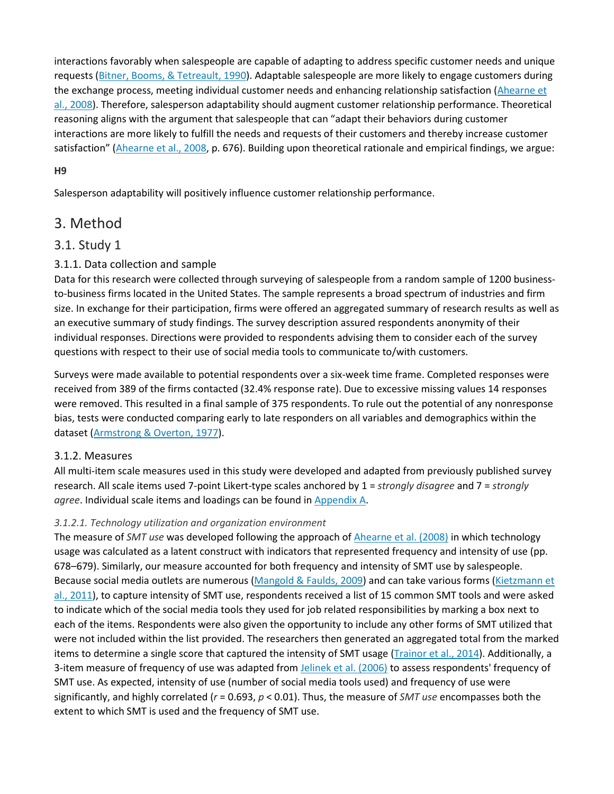interactions favorably when salespeople are capable of adapting to address specific customer needs and unique requests [\(Bitner, Booms, & Tetreault, 1990\)](https://0-www-sciencedirect-com.libus.csd.mu.edu/science/article/pii/S0019850117305436#bb0085). Adaptable salespeople are more likely to engage customers during the exchange process, meeting individual customer needs and enhancing relationship satisfaction [\(Ahearne et](https://0-www-sciencedirect-com.libus.csd.mu.edu/science/article/pii/S0019850117305436#bb0030)  [al., 2008\)](https://0-www-sciencedirect-com.libus.csd.mu.edu/science/article/pii/S0019850117305436#bb0030). Therefore, salesperson adaptability should augment customer relationship performance. Theoretical reasoning aligns with the argument that salespeople that can "adapt their behaviors during customer interactions are more likely to fulfill the needs and requests of their customers and thereby increase customer satisfaction" [\(Ahearne et al., 2008,](https://0-www-sciencedirect-com.libus.csd.mu.edu/science/article/pii/S0019850117305436#bb0030) p. 676). Building upon theoretical rationale and empirical findings, we argue:

#### **H9**

Salesperson adaptability will positively influence customer relationship performance.

## 3. Method

## 3.1. Study 1

## 3.1.1. Data collection and sample

Data for this research were collected through surveying of salespeople from a random sample of 1200 businessto-business firms located in the United States. The sample represents a broad spectrum of industries and firm size. In exchange for their participation, firms were offered an aggregated summary of research results as well as an executive summary of study findings. The survey description assured respondents anonymity of their individual responses. Directions were provided to respondents advising them to consider each of the survey questions with respect to their use of social media tools to communicate to/with customers.

Surveys were made available to potential respondents over a six-week time frame. Completed responses were received from 389 of the firms contacted (32.4% response rate). Due to excessive missing values 14 responses were removed. This resulted in a final sample of 375 respondents. To rule out the potential of any nonresponse bias, tests were conducted comparing early to late responders on all variables and demographics within the dataset [\(Armstrong & Overton, 1977\)](https://0-www-sciencedirect-com.libus.csd.mu.edu/science/article/pii/S0019850117305436#bb0060).

#### 3.1.2. Measures

All multi-item scale measures used in this study were developed and adapted from previously published survey research. All scale items used 7-point Likert-type scales anchored by 1 = *strongly disagree* and 7 = *strongly agree*. Individual scale items and loadings can be found in [Appendix A.](https://0-www-sciencedirect-com.libus.csd.mu.edu/science/article/pii/S0019850117305436#s0155)

#### *3.1.2.1. Technology utilization and organization environment*

The measure of *SMT use* was developed following the approach of [Ahearne et al. \(2008\)](https://0-www-sciencedirect-com.libus.csd.mu.edu/science/article/pii/S0019850117305436#bb0030) in which technology usage was calculated as a latent construct with indicators that represented frequency and intensity of use (pp. 678–679). Similarly, our measure accounted for both frequency and intensity of SMT use by salespeople. Because social media outlets are numerous [\(Mangold & Faulds, 2009\)](https://0-www-sciencedirect-com.libus.csd.mu.edu/science/article/pii/S0019850117305436#bb0235) and can take various forms [\(Kietzmann et](https://0-www-sciencedirect-com.libus.csd.mu.edu/science/article/pii/S0019850117305436#bb0215)  [al., 2011\)](https://0-www-sciencedirect-com.libus.csd.mu.edu/science/article/pii/S0019850117305436#bb0215), to capture intensity of SMT use, respondents received a list of 15 common SMT tools and were asked to indicate which of the social media tools they used for job related responsibilities by marking a box next to each of the items. Respondents were also given the opportunity to include any other forms of SMT utilized that were not included within the list provided. The researchers then generated an aggregated total from the marked items to determine a single score that captured the intensity of SMT usage [\(Trainor et al., 2014\)](https://0-www-sciencedirect-com.libus.csd.mu.edu/science/article/pii/S0019850117305436#bb0395). Additionally, a 3-item measure of frequency of use was adapted from [Jelinek et al. \(2006\)](https://0-www-sciencedirect-com.libus.csd.mu.edu/science/article/pii/S0019850117305436#bb0200) to assess respondents' frequency of SMT use. As expected, intensity of use (number of social media tools used) and frequency of use were significantly, and highly correlated (*r* = 0.693, *p* < 0.01). Thus, the measure of *SMT use* encompasses both the extent to which SMT is used and the frequency of SMT use.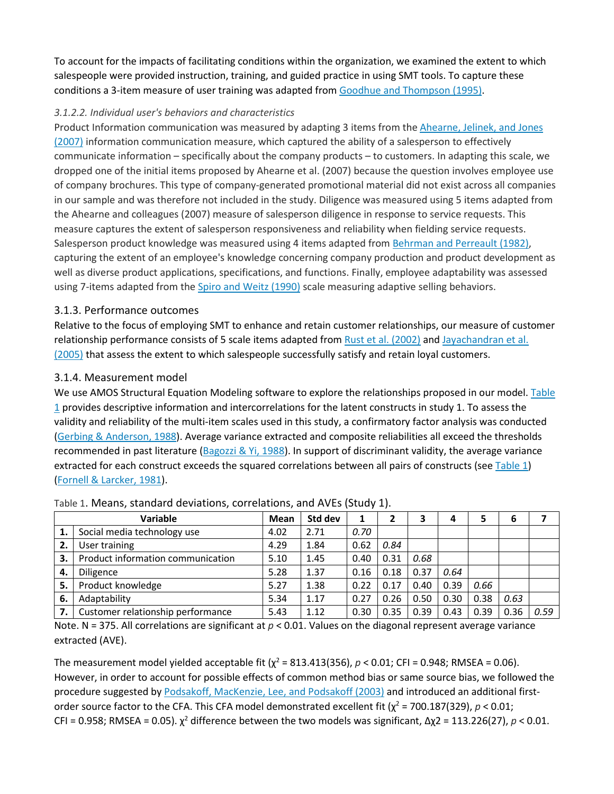To account for the impacts of facilitating conditions within the organization, we examined the extent to which salespeople were provided instruction, training, and guided practice in using SMT tools. To capture these conditions a 3-item measure of user training was adapted from [Goodhue and Thompson \(1995\).](https://0-www-sciencedirect-com.libus.csd.mu.edu/science/article/pii/S0019850117305436#bb0150)

#### *3.1.2.2. Individual user's behaviors and characteristics*

Product Information communication was measured by adapting 3 items from the [Ahearne, Jelinek, and Jones](https://0-www-sciencedirect-com.libus.csd.mu.edu/science/article/pii/S0019850117305436#bb0020)  [\(2007\)](https://0-www-sciencedirect-com.libus.csd.mu.edu/science/article/pii/S0019850117305436#bb0020) information communication measure, which captured the ability of a salesperson to effectively communicate information – specifically about the company products – to customers. In adapting this scale, we dropped one of the initial items proposed by Ahearne et al. (2007) because the question involves employee use of company brochures. This type of company-generated promotional material did not exist across all companies in our sample and was therefore not included in the study. Diligence was measured using 5 items adapted from the Ahearne and colleagues (2007) measure of salesperson diligence in response to service requests. This measure captures the extent of salesperson responsiveness and reliability when fielding service requests. Salesperson product knowledge was measured using 4 items adapted from [Behrman and Perreault \(1982\),](https://0-www-sciencedirect-com.libus.csd.mu.edu/science/article/pii/S0019850117305436#bb0080) capturing the extent of an employee's knowledge concerning company production and product development as well as diverse product applications, specifications, and functions. Finally, employee adaptability was assessed using 7-items adapted from the [Spiro and Weitz \(1990\)](https://0-www-sciencedirect-com.libus.csd.mu.edu/science/article/pii/S0019850117305436#bb0360) scale measuring adaptive selling behaviors.

#### 3.1.3. Performance outcomes

Relative to the focus of employing SMT to enhance and retain customer relationships, our measure of customer relationship performance consists of 5 scale items adapted from [Rust et al. \(2002\)](https://0-www-sciencedirect-com.libus.csd.mu.edu/science/article/pii/S0019850117305436#bb0335) and [Jayachandran et al.](https://0-www-sciencedirect-com.libus.csd.mu.edu/science/article/pii/S0019850117305436#bb0195)  [\(2005\)](https://0-www-sciencedirect-com.libus.csd.mu.edu/science/article/pii/S0019850117305436#bb0195) that assess the extent to which salespeople successfully satisfy and retain loyal customers.

#### 3.1.4. Measurement model

We use AMOS Structural Equation Modeling software to explore the relationships proposed in our model. [Table](https://0-www-sciencedirect-com.libus.csd.mu.edu/science/article/pii/S0019850117305436#t0005)   $1$  provides descriptive information and intercorrelations for the latent constructs in study 1. To assess the validity and reliability of the multi-item scales used in this study, a confirmatory factor analysis was conducted [\(Gerbing & Anderson, 1988\)](https://0-www-sciencedirect-com.libus.csd.mu.edu/science/article/pii/S0019850117305436#bb0145). Average variance extracted and composite reliabilities all exceed the thresholds recommended in past literature [\(Bagozzi & Yi, 1988\)](https://0-www-sciencedirect-com.libus.csd.mu.edu/science/article/pii/S0019850117305436#bb0070). In support of discriminant validity, the average variance extracted for each construct exceeds the squared correlations between all pairs of constructs (see [Table 1\)](https://0-www-sciencedirect-com.libus.csd.mu.edu/science/article/pii/S0019850117305436#t0005) [\(Fornell & Larcker, 1981\)](https://0-www-sciencedirect-com.libus.csd.mu.edu/science/article/pii/S0019850117305436#bb0140).

|    | Variable                          | Mean | Std dev |      |      |      |      | 5    | 6    |      |
|----|-----------------------------------|------|---------|------|------|------|------|------|------|------|
|    | Social media technology use       | 4.02 | 2.71    | 0.70 |      |      |      |      |      |      |
| 2. | User training                     | 4.29 | 1.84    | 0.62 | 0.84 |      |      |      |      |      |
| 3. | Product information communication | 5.10 | 1.45    | 0.40 | 0.31 | 0.68 |      |      |      |      |
| 4. | Diligence                         | 5.28 | 1.37    | 0.16 | 0.18 | 0.37 | 0.64 |      |      |      |
| 5. | Product knowledge                 | 5.27 | 1.38    | 0.22 | 0.17 | 0.40 | 0.39 | 0.66 |      |      |
| 6. | Adaptability                      | 5.34 | 1.17    | 0.27 | 0.26 | 0.50 | 0.30 | 0.38 | 0.63 |      |
| 7. | Customer relationship performance | 5.43 | 1.12    | 0.30 | 0.35 | 0.39 | 0.43 | 0.39 | 0.36 | 0.59 |

Table 1. Means, standard deviations, correlations, and AVEs (Study 1).

Note. N = 375. All correlations are significant at  $p < 0.01$ . Values on the diagonal represent average variance extracted (AVE).

The measurement model yielded acceptable fit ( $\chi^2$  = 813.413(356),  $p$  < 0.01; CFI = 0.948; RMSEA = 0.06). However, in order to account for possible effects of common method bias or same source bias, we followed the procedure suggested by [Podsakoff, MacKenzie, Lee, and Podsakoff \(2003\)](https://0-www-sciencedirect-com.libus.csd.mu.edu/science/article/pii/S0019850117305436#bb0290) and introduced an additional firstorder source factor to the CFA. This CFA model demonstrated excellent fit  $(\chi^2 = 700.187(329), p < 0.01;$ CFI = 0.958; RMSEA = 0.05). χ<sup>2</sup> difference between the two models was significant, Δχ2 = 113.226(27), *p* < 0.01.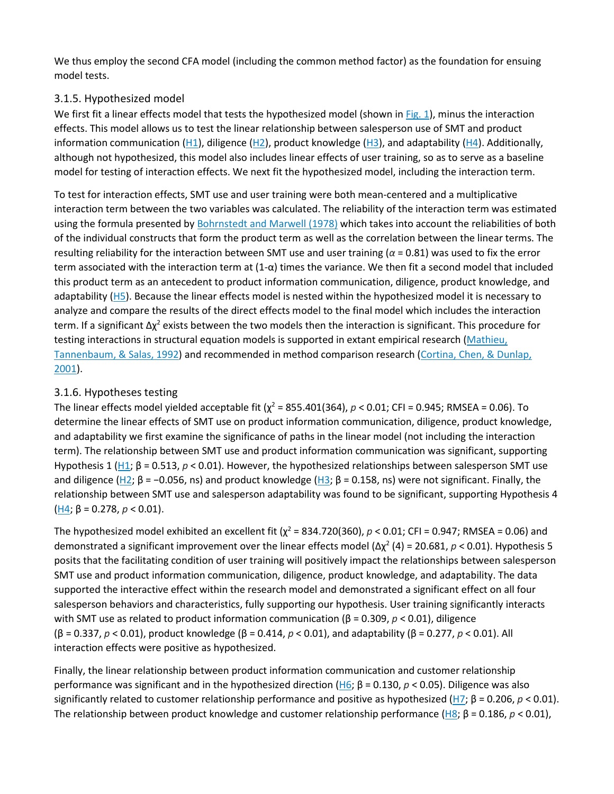We thus employ the second CFA model (including the common method factor) as the foundation for ensuing model tests.

#### 3.1.5. Hypothesized model

We first fit a linear effects model that tests the hypothesized model (shown in [Fig. 1\)](https://0-www-sciencedirect-com.libus.csd.mu.edu/science/article/pii/S0019850117305436#f0005), minus the interaction effects. This model allows us to test the linear relationship between salesperson use of SMT and product information communication ( $H1$ ), diligence ( $H2$ ), product knowledge ( $H3$ ), and adaptability ( $H4$ ). Additionally, although not hypothesized, this model also includes linear effects of user training, so as to serve as a baseline model for testing of interaction effects. We next fit the hypothesized model, including the interaction term.

To test for interaction effects, SMT use and user training were both mean-centered and a multiplicative interaction term between the two variables was calculated. The reliability of the interaction term was estimated using the formula presented by [Bohrnstedt and Marwell \(1978\)](https://0-www-sciencedirect-com.libus.csd.mu.edu/science/article/pii/S0019850117305436#bb0095) which takes into account the reliabilities of both of the individual constructs that form the product term as well as the correlation between the linear terms. The resulting reliability for the interaction between SMT use and user training (*α* = 0.81) was used to fix the error term associated with the interaction term at (1-α) times the variance. We then fit a second model that included this product term as an antecedent to product information communication, diligence, product knowledge, and adaptability [\(H5\)](https://0-www-sciencedirect-com.libus.csd.mu.edu/science/article/pii/S0019850117305436#en0025). Because the linear effects model is nested within the hypothesized model it is necessary to analyze and compare the results of the direct effects model to the final model which includes the interaction term. If a significant  $\Delta \chi^2$  exists between the two models then the interaction is significant. This procedure for testing interactions in structural equation models is supported in extant empirical research [\(Mathieu,](https://0-www-sciencedirect-com.libus.csd.mu.edu/science/article/pii/S0019850117305436#bb0245)  [Tannenbaum, & Salas, 1992\)](https://0-www-sciencedirect-com.libus.csd.mu.edu/science/article/pii/S0019850117305436#bb0245) and recommended in method comparison research [\(Cortina, Chen, & Dunlap,](https://0-www-sciencedirect-com.libus.csd.mu.edu/science/article/pii/S0019850117305436#bb0120)  [2001\)](https://0-www-sciencedirect-com.libus.csd.mu.edu/science/article/pii/S0019850117305436#bb0120).

## 3.1.6. Hypotheses testing

The linear effects model yielded acceptable fit ( $\chi^2$  = 855.401(364),  $p$  < 0.01; CFI = 0.945; RMSEA = 0.06). To determine the linear effects of SMT use on product information communication, diligence, product knowledge, and adaptability we first examine the significance of paths in the linear model (not including the interaction term). The relationship between SMT use and product information communication was significant, supporting Hypothesis 1 [\(H1](https://0-www-sciencedirect-com.libus.csd.mu.edu/science/article/pii/S0019850117305436#en0005); β = 0.513, *p* < 0.01). However, the hypothesized relationships between salesperson SMT use and diligence [\(H2](https://0-www-sciencedirect-com.libus.csd.mu.edu/science/article/pii/S0019850117305436#en0010); β = -0.056, ns) and product knowledge ([H3](https://0-www-sciencedirect-com.libus.csd.mu.edu/science/article/pii/S0019850117305436#en0015); β = 0.158, ns) were not significant. Finally, the relationship between SMT use and salesperson adaptability was found to be significant, supporting Hypothesis 4 ( $H4$ ;  $\beta$  = 0.278,  $p$  < 0.01).

The hypothesized model exhibited an excellent fit ( $\chi^2$  = 834.720(360),  $p$  < 0.01; CFI = 0.947; RMSEA = 0.06) and demonstrated a significant improvement over the linear effects model (Δχ<sup>2</sup> (4) = 20.681, *p* < 0.01). Hypothesis 5 posits that the facilitating condition of user training will positively impact the relationships between salesperson SMT use and product information communication, diligence, product knowledge, and adaptability. The data supported the interactive effect within the research model and demonstrated a significant effect on all four salesperson behaviors and characteristics, fully supporting our hypothesis. User training significantly interacts with SMT use as related to product information communication (β = 0.309, *p* < 0.01), diligence (β = 0.337, *p* < 0.01), product knowledge (β = 0.414, *p* < 0.01), and adaptability (β = 0.277, *p* < 0.01). All interaction effects were positive as hypothesized.

Finally, the linear relationship between product information communication and customer relationship performance was significant and in the hypothesized direction [\(H6](https://0-www-sciencedirect-com.libus.csd.mu.edu/science/article/pii/S0019850117305436#en0030); β = 0.130, *p* < 0.05). Diligence was also significantly related to customer relationship performance and positive as hypothesized [\(H7](https://0-www-sciencedirect-com.libus.csd.mu.edu/science/article/pii/S0019850117305436#en0035); β = 0.206, *p* < 0.01). The relationship between product knowledge and customer relationship performance [\(H8](https://0-www-sciencedirect-com.libus.csd.mu.edu/science/article/pii/S0019850117305436#en0040); β = 0.186, *p* < 0.01),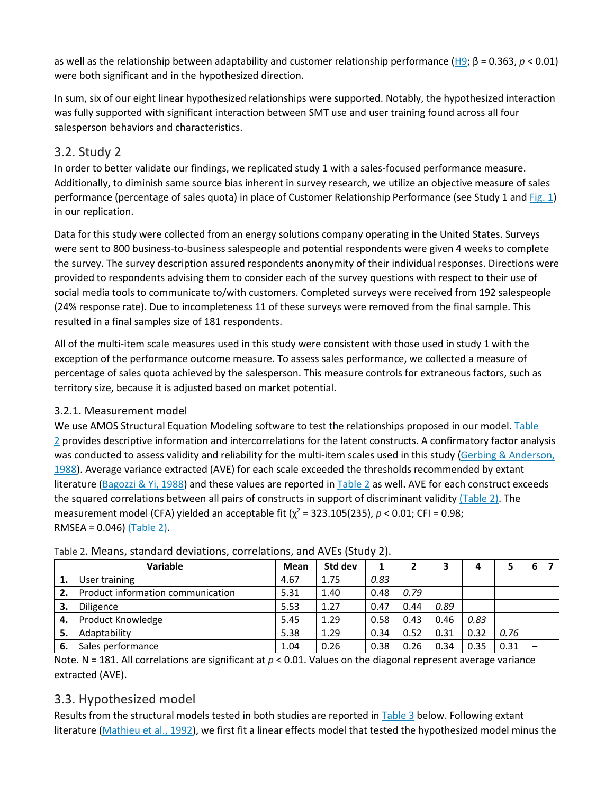as well as the relationship between adaptability and customer relationship performance [\(H9](https://0-www-sciencedirect-com.libus.csd.mu.edu/science/article/pii/S0019850117305436#en0045); β = 0.363, *p* < 0.01) were both significant and in the hypothesized direction.

In sum, six of our eight linear hypothesized relationships were supported. Notably, the hypothesized interaction was fully supported with significant interaction between SMT use and user training found across all four salesperson behaviors and characteristics.

## 3.2. Study 2

In order to better validate our findings, we replicated study 1 with a sales-focused performance measure. Additionally, to diminish same source bias inherent in survey research, we utilize an objective measure of sales performance (percentage of sales quota) in place of Customer Relationship Performance (see Study 1 and [Fig. 1\)](https://0-www-sciencedirect-com.libus.csd.mu.edu/science/article/pii/S0019850117305436#f0005) in our replication.

Data for this study were collected from an energy solutions company operating in the United States. Surveys were sent to 800 business-to-business salespeople and potential respondents were given 4 weeks to complete the survey. The survey description assured respondents anonymity of their individual responses. Directions were provided to respondents advising them to consider each of the survey questions with respect to their use of social media tools to communicate to/with customers. Completed surveys were received from 192 salespeople (24% response rate). Due to incompleteness 11 of these surveys were removed from the final sample. This resulted in a final samples size of 181 respondents.

All of the multi-item scale measures used in this study were consistent with those used in study 1 with the exception of the performance outcome measure. To assess sales performance, we collected a measure of percentage of sales quota achieved by the salesperson. This measure controls for extraneous factors, such as territory size, because it is adjusted based on market potential.

## 3.2.1. Measurement model

We use AMOS Structural Equation Modeling software to test the relationships proposed in our model. [Table](https://0-www-sciencedirect-com.libus.csd.mu.edu/science/article/pii/S0019850117305436#t0010)  [2](https://0-www-sciencedirect-com.libus.csd.mu.edu/science/article/pii/S0019850117305436#t0010) provides descriptive information and intercorrelations for the latent constructs. A confirmatory factor analysis was conducted to assess validity and reliability for the multi-item scales used in this study (Gerbing & Anderson, [1988\)](https://0-www-sciencedirect-com.libus.csd.mu.edu/science/article/pii/S0019850117305436#bb0145). Average variance extracted (AVE) for each scale exceeded the thresholds recommended by extant literature [\(Bagozzi & Yi, 1988\)](https://0-www-sciencedirect-com.libus.csd.mu.edu/science/article/pii/S0019850117305436#bb0070) and these values are reported in  $Table 2$  as well. AVE for each construct exceeds the squared correlations between all pairs of constructs in support of discriminant validity [\(Table 2\).](https://0-www-sciencedirect-com.libus.csd.mu.edu/science/article/pii/S0019850117305436#t0010) The measurement model (CFA) yielded an acceptable fit  $(\chi^2 = 323.105(235), p < 0.01$ ; CFI = 0.98; RMSEA = 0.046) [\(Table 2\).](https://0-www-sciencedirect-com.libus.csd.mu.edu/science/article/pii/S0019850117305436#t0010)

|     | Variable                          | <b>Mean</b> | Std dev |      |      | 3    |      |      | 6 |  |
|-----|-----------------------------------|-------------|---------|------|------|------|------|------|---|--|
| 1.  | User training                     | 4.67        | 1.75    | 0.83 |      |      |      |      |   |  |
| 2.  | Product information communication | 5.31        | 1.40    | 0.48 | 0.79 |      |      |      |   |  |
| З.  | Diligence                         | 5.53        | 1.27    | 0.47 | 0.44 | 0.89 |      |      |   |  |
| -4. | Product Knowledge                 | 5.45        | 1.29    | 0.58 | 0.43 | 0.46 | 0.83 |      |   |  |
| 5.  | Adaptability                      | 5.38        | 1.29    | 0.34 | 0.52 | 0.31 | 0.32 | 0.76 |   |  |
| -6. | Sales performance                 | 1.04        | 0.26    | 0.38 | 0.26 | 0.34 | 0.35 | 0.31 |   |  |

## Table 2. Means, standard deviations, correlations, and AVEs (Study 2).

Note. N = 181. All correlations are significant at  $p < 0.01$ . Values on the diagonal represent average variance extracted (AVE).

## 3.3. Hypothesized model

Results from the structural models tested in both studies are reported in [Table 3](https://0-www-sciencedirect-com.libus.csd.mu.edu/science/article/pii/S0019850117305436#t0015) below. Following extant literature [\(Mathieu et al., 1992\)](https://0-www-sciencedirect-com.libus.csd.mu.edu/science/article/pii/S0019850117305436#bb0245), we first fit a linear effects model that tested the hypothesized model minus the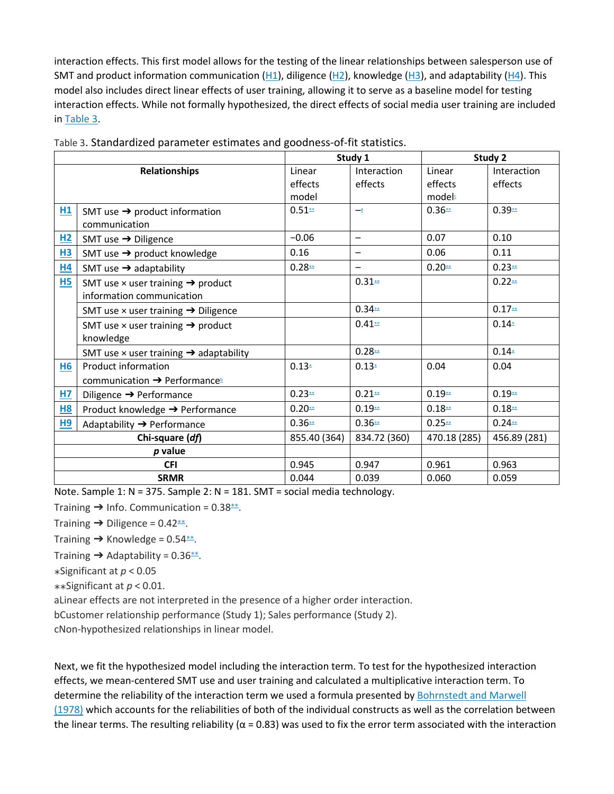interaction effects. This first model allows for the testing of the linear relationships between salesperson use of SMT and product information communication  $(H1)$ , diligence  $(H2)$ , knowledge  $(H3)$ , and adaptability  $(H4)$ . This model also includes direct linear effects of user training, allowing it to serve as a baseline model for testing interaction effects. While not formally hypothesized, the direct effects of social media user training are included in [Table 3.](https://0-www-sciencedirect-com.libus.csd.mu.edu/science/article/pii/S0019850117305436#t0015)

|                 |                                                           | Study 1      |                          | Study 2      |              |  |
|-----------------|-----------------------------------------------------------|--------------|--------------------------|--------------|--------------|--|
|                 | <b>Relationships</b>                                      | Linear       | Interaction              | Linear       | Interaction  |  |
|                 |                                                           | effects      | effects                  | effects      | effects      |  |
|                 |                                                           | model        |                          | models       |              |  |
| H1              | SMT use $\rightarrow$ product information                 | $0.51**$     | $\overline{\phantom{a}}$ | $0.36**$     | $0.39**$     |  |
|                 | communication                                             |              |                          |              |              |  |
| H2              | SMT use $\rightarrow$ Diligence                           | $-0.06$      | -                        | 0.07         | 0.10         |  |
| <b>H3</b>       | SMT use $\rightarrow$ product knowledge                   | 0.16         | —                        | 0.06         | 0.11         |  |
| H4              | SMT use $\rightarrow$ adaptability                        | $0.28**$     |                          | $0.20**$     | $0.23**$     |  |
| H5              | SMT use $\times$ user training $\rightarrow$ product      |              | $0.31**$                 |              | $0.22**$     |  |
|                 | information communication                                 |              |                          |              |              |  |
|                 | SMT use $\times$ user training $\rightarrow$ Diligence    |              | $0.34**$                 |              | $0.17**$     |  |
|                 | SMT use $\times$ user training $\rightarrow$ product      |              | $0.41**$                 |              | $0.14*$      |  |
|                 | knowledge                                                 |              |                          |              |              |  |
|                 | SMT use $\times$ user training $\rightarrow$ adaptability |              | $0.28**$                 |              | $0.14*$      |  |
| <b>H6</b>       | Product information                                       | $0.13*$      | $0.13*$                  | 0.04         | 0.04         |  |
|                 | communication → Performance                               |              |                          |              |              |  |
| HZ              | Diligence $\rightarrow$ Performance                       | $0.23**$     | $0.21**$                 | $0.19**$     | $0.19**$     |  |
| <b>H8</b>       | Product knowledge → Performance                           | $0.20**$     | $0.19**$                 | $0.18**$     | $0.18**$     |  |
| H <sub>9</sub>  | Adaptability → Performance                                | $0.36**$     | $0.36**$                 | $0.25**$     | $0.24**$     |  |
| Chi-square (df) |                                                           | 855.40 (364) | 834.72 (360)             | 470.18 (285) | 456.89 (281) |  |
| $p$ value       |                                                           |              |                          |              |              |  |
| <b>CFI</b>      |                                                           | 0.945        | 0.947                    | 0.961        | 0.963        |  |
| <b>SRMR</b>     |                                                           | 0.044        | 0.039                    | 0.060        | 0.059        |  |

Table 3. Standardized parameter estimates and goodness-of-fit statistics.

Note. Sample 1: N = 375. Sample 2: N = 181. SMT = social media technology.

Training  $\rightarrow$  Info. Communication = 0.38 $*$  $\rightarrow$ .

Training  $\rightarrow$  Diligence = 0.42 $^{**}$ .

Training  $\rightarrow$  Knowledge = 0.54 <u>\*</u>\*.

Training  $\rightarrow$  Adaptability = 0.36 $**$ .

⁎Significant at *p* < 0.05

⁎⁎Significant at *p* < 0.01.

aLinear effects are not interpreted in the presence of a higher order interaction.

bCustomer relationship performance (Study 1); Sales performance (Study 2).

cNon-hypothesized relationships in linear model.

Next, we fit the hypothesized model including the interaction term. To test for the hypothesized interaction effects, we mean-centered SMT use and user training and calculated a multiplicative interaction term. To determine the reliability of the interaction term we used a formula presented by [Bohrnstedt and Marwell](https://0-www-sciencedirect-com.libus.csd.mu.edu/science/article/pii/S0019850117305436#bb0095)  [\(1978\)](https://0-www-sciencedirect-com.libus.csd.mu.edu/science/article/pii/S0019850117305436#bb0095) which accounts for the reliabilities of both of the individual constructs as well as the correlation between the linear terms. The resulting reliability ( $\alpha$  = 0.83) was used to fix the error term associated with the interaction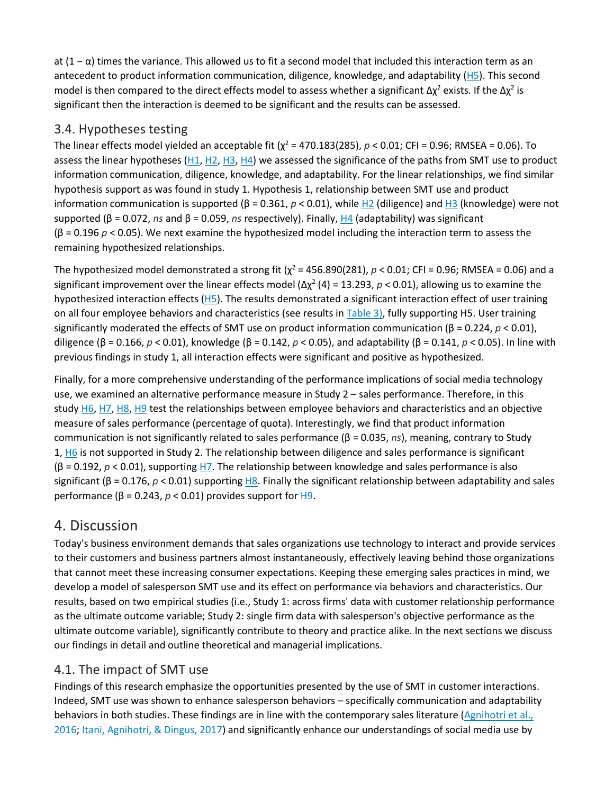at (1 − α) times the variance. This allowed us to fit a second model that included this interaction term as an antecedent to product information communication, diligence, knowledge, and adaptability [\(H5\)](https://0-www-sciencedirect-com.libus.csd.mu.edu/science/article/pii/S0019850117305436#en0025). This second model is then compared to the direct effects model to assess whether a significant  $\Delta \chi^2$  exists. If the  $\Delta \chi^2$  is significant then the interaction is deemed to be significant and the results can be assessed.

## 3.4. Hypotheses testing

The linear effects model yielded an acceptable fit ( $\chi^2$  = 470.183(285),  $p$  < 0.01; CFI = 0.96; RMSEA = 0.06). To assess the linear hypotheses [\(H1,](https://0-www-sciencedirect-com.libus.csd.mu.edu/science/article/pii/S0019850117305436#en0005) [H2,](https://0-www-sciencedirect-com.libus.csd.mu.edu/science/article/pii/S0019850117305436#en0010) [H3,](https://0-www-sciencedirect-com.libus.csd.mu.edu/science/article/pii/S0019850117305436#en0015) [H4\)](https://0-www-sciencedirect-com.libus.csd.mu.edu/science/article/pii/S0019850117305436#en0020) we assessed the significance of the paths from SMT use to product information communication, diligence, knowledge, and adaptability. For the linear relationships, we find similar hypothesis support as was found in study 1. Hypothesis 1, relationship between SMT use and product information communication is supported (β = 0.361, *p* < 0.01), while [H2](https://0-www-sciencedirect-com.libus.csd.mu.edu/science/article/pii/S0019850117305436#en0010) (diligence) and [H3](https://0-www-sciencedirect-com.libus.csd.mu.edu/science/article/pii/S0019850117305436#en0015) (knowledge) were not supported (β = 0.072, *ns* and β = 0.059, *ns* respectively). Finally, [H4](https://0-www-sciencedirect-com.libus.csd.mu.edu/science/article/pii/S0019850117305436#en0020) (adaptability) was significant (β = 0.196 *p* < 0.05). We next examine the hypothesized model including the interaction term to assess the remaining hypothesized relationships.

The hypothesized model demonstrated a strong fit ( $\chi^2$  = 456.890(281),  $p$  < 0.01; CFI = 0.96; RMSEA = 0.06) and a significant improvement over the linear effects model  $(\Delta \chi^2 (4) = 13.293, p < 0.01)$ , allowing us to examine the hypothesized interaction effects [\(H5\)](https://0-www-sciencedirect-com.libus.csd.mu.edu/science/article/pii/S0019850117305436#en0025). The results demonstrated a significant interaction effect of user training on all four employee behaviors and characteristics (see results in [Table 3\),](https://0-www-sciencedirect-com.libus.csd.mu.edu/science/article/pii/S0019850117305436#t0015) fully supporting H5. User training significantly moderated the effects of SMT use on product information communication (β = 0.224, *p* < 0.01), diligence (β = 0.166, *p* < 0.01), knowledge (β = 0.142, *p* < 0.05), and adaptability (β = 0.141, *p* < 0.05). In line with previous findings in study 1, all interaction effects were significant and positive as hypothesized.

Finally, for a more comprehensive understanding of the performance implications of social media technology use, we examined an alternative performance measure in Study 2 – sales performance. Therefore, in this study [H6,](https://0-www-sciencedirect-com.libus.csd.mu.edu/science/article/pii/S0019850117305436#en0030) [H7,](https://0-www-sciencedirect-com.libus.csd.mu.edu/science/article/pii/S0019850117305436#en0035) [H8,](https://0-www-sciencedirect-com.libus.csd.mu.edu/science/article/pii/S0019850117305436#en0040) [H9](https://0-www-sciencedirect-com.libus.csd.mu.edu/science/article/pii/S0019850117305436#en0045) test the relationships between employee behaviors and characteristics and an objective measure of sales performance (percentage of quota). Interestingly, we find that product information communication is not significantly related to sales performance (β = 0.035, *ns*), meaning, contrary to Study 1, [H6](https://0-www-sciencedirect-com.libus.csd.mu.edu/science/article/pii/S0019850117305436#en0030) is not supported in Study 2. The relationship between diligence and sales performance is significant (β = 0.192, *p* < 0.01), supporting [H7.](https://0-www-sciencedirect-com.libus.csd.mu.edu/science/article/pii/S0019850117305436#en0035) The relationship between knowledge and sales performance is also significant (β = 0.176, *p* < 0.01) supporting [H8.](https://0-www-sciencedirect-com.libus.csd.mu.edu/science/article/pii/S0019850117305436#en0040) Finally the significant relationship between adaptability and sales performance ( $β = 0.243$ ,  $p < 0.01$ ) provides support for  $H9$ .

## 4. Discussion

Today's business environment demands that sales organizations use technology to interact and provide services to their customers and business partners almost instantaneously, effectively leaving behind those organizations that cannot meet these increasing consumer expectations. Keeping these emerging sales practices in mind, we develop a model of salesperson SMT use and its effect on performance via behaviors and characteristics. Our results, based on two empirical studies (i.e., Study 1: across firms' data with customer relationship performance as the ultimate outcome variable; Study 2: single firm data with salesperson's objective performance as the ultimate outcome variable), significantly contribute to theory and practice alike. In the next sections we discuss our findings in detail and outline theoretical and managerial implications.

## 4.1. The impact of SMT use

Findings of this research emphasize the opportunities presented by the use of SMT in customer interactions. Indeed, SMT use was shown to enhance salesperson behaviors – specifically communication and adaptability behaviors in both studies. These findings are in line with the contemporary sales literature (Agnihotri et al., [2016;](https://0-www-sciencedirect-com.libus.csd.mu.edu/science/article/pii/S0019850117305436#bb0005) [Itani, Agnihotri, & Dingus, 2017\)](https://0-www-sciencedirect-com.libus.csd.mu.edu/science/article/pii/S0019850117305436#bb0190) and significantly enhance our understandings of social media use by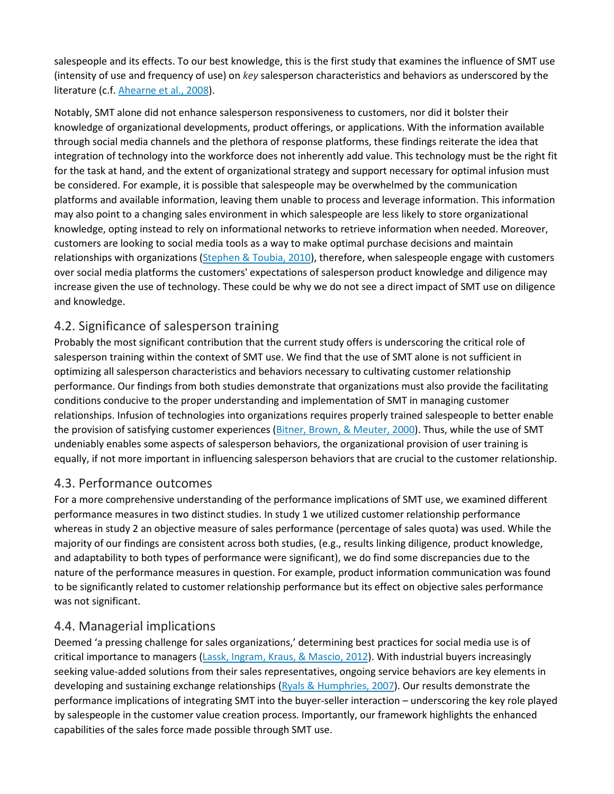salespeople and its effects. To our best knowledge, this is the first study that examines the influence of SMT use (intensity of use and frequency of use) on *key* salesperson characteristics and behaviors as underscored by the literature (c.f. [Ahearne et al., 2008\)](https://0-www-sciencedirect-com.libus.csd.mu.edu/science/article/pii/S0019850117305436#bb0030).

Notably, SMT alone did not enhance salesperson responsiveness to customers, nor did it bolster their knowledge of organizational developments, product offerings, or applications. With the information available through social media channels and the plethora of response platforms, these findings reiterate the idea that integration of technology into the workforce does not inherently add value. This technology must be the right fit for the task at hand, and the extent of organizational strategy and support necessary for optimal infusion must be considered. For example, it is possible that salespeople may be overwhelmed by the communication platforms and available information, leaving them unable to process and leverage information. This information may also point to a changing sales environment in which salespeople are less likely to store organizational knowledge, opting instead to rely on informational networks to retrieve information when needed. Moreover, customers are looking to social media tools as a way to make optimal purchase decisions and maintain relationships with organizations [\(Stephen & Toubia, 2010\)](https://0-www-sciencedirect-com.libus.csd.mu.edu/science/article/pii/S0019850117305436#bb0365), therefore, when salespeople engage with customers over social media platforms the customers' expectations of salesperson product knowledge and diligence may increase given the use of technology. These could be why we do not see a direct impact of SMT use on diligence and knowledge.

## 4.2. Significance of salesperson training

Probably the most significant contribution that the current study offers is underscoring the critical role of salesperson training within the context of SMT use. We find that the use of SMT alone is not sufficient in optimizing all salesperson characteristics and behaviors necessary to cultivating customer relationship performance. Our findings from both studies demonstrate that organizations must also provide the facilitating conditions conducive to the proper understanding and implementation of SMT in managing customer relationships. Infusion of technologies into organizations requires properly trained salespeople to better enable the provision of satisfying customer experiences [\(Bitner, Brown, & Meuter, 2000\)](https://0-www-sciencedirect-com.libus.csd.mu.edu/science/article/pii/S0019850117305436#bb0090). Thus, while the use of SMT undeniably enables some aspects of salesperson behaviors, the organizational provision of user training is equally, if not more important in influencing salesperson behaviors that are crucial to the customer relationship.

## 4.3. Performance outcomes

For a more comprehensive understanding of the performance implications of SMT use, we examined different performance measures in two distinct studies. In study 1 we utilized customer relationship performance whereas in study 2 an objective measure of sales performance (percentage of sales quota) was used. While the majority of our findings are consistent across both studies, (e.g., results linking diligence, product knowledge, and adaptability to both types of performance were significant), we do find some discrepancies due to the nature of the performance measures in question. For example, product information communication was found to be significantly related to customer relationship performance but its effect on objective sales performance was not significant.

## 4.4. Managerial implications

Deemed 'a pressing challenge for sales organizations,' determining best practices for social media use is of critical importance to managers [\(Lassk, Ingram, Kraus, & Mascio, 2012\)](https://0-www-sciencedirect-com.libus.csd.mu.edu/science/article/pii/S0019850117305436#bb0225). With industrial buyers increasingly seeking value-added solutions from their sales representatives, ongoing service behaviors are key elements in developing and sustaining exchange relationships [\(Ryals & Humphries, 2007\)](https://0-www-sciencedirect-com.libus.csd.mu.edu/science/article/pii/S0019850117305436#bb0340). Our results demonstrate the performance implications of integrating SMT into the buyer-seller interaction – underscoring the key role played by salespeople in the customer value creation process. Importantly, our framework highlights the enhanced capabilities of the sales force made possible through SMT use.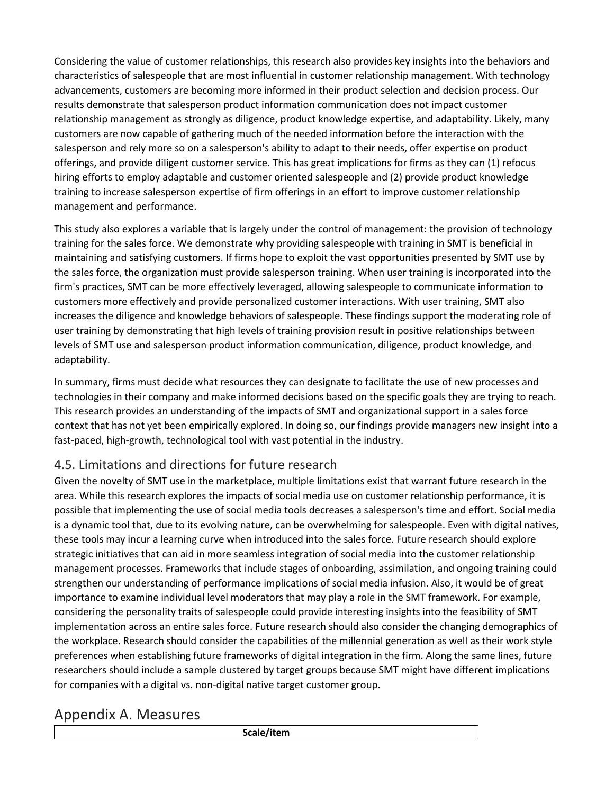Considering the value of customer relationships, this research also provides key insights into the behaviors and characteristics of salespeople that are most influential in customer relationship management. With technology advancements, customers are becoming more informed in their product selection and decision process. Our results demonstrate that salesperson product information communication does not impact customer relationship management as strongly as diligence, product knowledge expertise, and adaptability. Likely, many customers are now capable of gathering much of the needed information before the interaction with the salesperson and rely more so on a salesperson's ability to adapt to their needs, offer expertise on product offerings, and provide diligent customer service. This has great implications for firms as they can (1) refocus hiring efforts to employ adaptable and customer oriented salespeople and (2) provide product knowledge training to increase salesperson expertise of firm offerings in an effort to improve customer relationship management and performance.

This study also explores a variable that is largely under the control of management: the provision of technology training for the sales force. We demonstrate why providing salespeople with training in SMT is beneficial in maintaining and satisfying customers. If firms hope to exploit the vast opportunities presented by SMT use by the sales force, the organization must provide salesperson training. When user training is incorporated into the firm's practices, SMT can be more effectively leveraged, allowing salespeople to communicate information to customers more effectively and provide personalized customer interactions. With user training, SMT also increases the diligence and knowledge behaviors of salespeople. These findings support the moderating role of user training by demonstrating that high levels of training provision result in positive relationships between levels of SMT use and salesperson product information communication, diligence, product knowledge, and adaptability.

In summary, firms must decide what resources they can designate to facilitate the use of new processes and technologies in their company and make informed decisions based on the specific goals they are trying to reach. This research provides an understanding of the impacts of SMT and organizational support in a sales force context that has not yet been empirically explored. In doing so, our findings provide managers new insight into a fast-paced, high-growth, technological tool with vast potential in the industry.

## 4.5. Limitations and directions for future research

Given the novelty of SMT use in the marketplace, multiple limitations exist that warrant future research in the area. While this research explores the impacts of social media use on customer relationship performance, it is possible that implementing the use of social media tools decreases a salesperson's time and effort. Social media is a dynamic tool that, due to its evolving nature, can be overwhelming for salespeople. Even with digital natives, these tools may incur a learning curve when introduced into the sales force. Future research should explore strategic initiatives that can aid in more seamless integration of social media into the customer relationship management processes. Frameworks that include stages of onboarding, assimilation, and ongoing training could strengthen our understanding of performance implications of social media infusion. Also, it would be of great importance to examine individual level moderators that may play a role in the SMT framework. For example, considering the personality traits of salespeople could provide interesting insights into the feasibility of SMT implementation across an entire sales force. Future research should also consider the changing demographics of the workplace. Research should consider the capabilities of the millennial generation as well as their work style preferences when establishing future frameworks of digital integration in the firm. Along the same lines, future researchers should include a sample clustered by target groups because SMT might have different implications for companies with a digital vs. non-digital native target customer group.

# Appendix A. Measures

**Scale/item**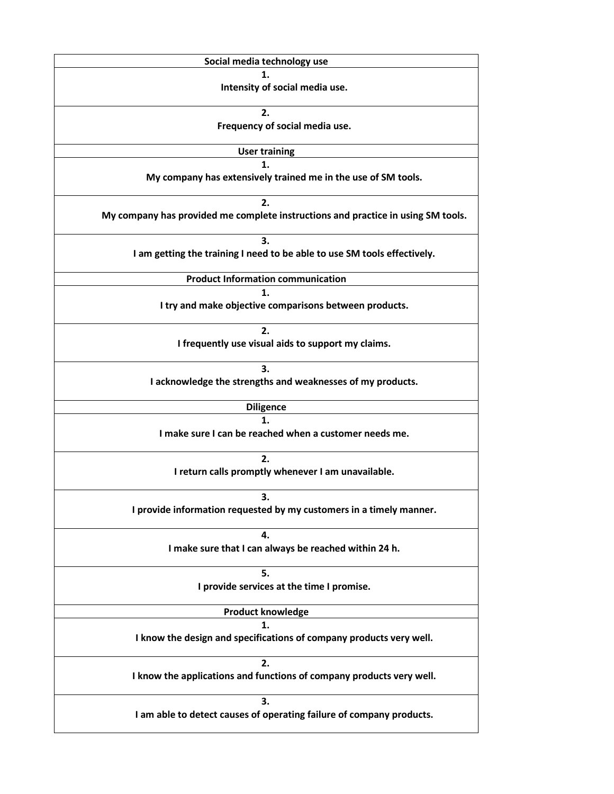| Social media technology use                                                      |
|----------------------------------------------------------------------------------|
| 1.                                                                               |
| Intensity of social media use.                                                   |
|                                                                                  |
| 2.                                                                               |
| Frequency of social media use.                                                   |
| <b>User training</b>                                                             |
| 1.                                                                               |
| My company has extensively trained me in the use of SM tools.                    |
|                                                                                  |
| 2.                                                                               |
| My company has provided me complete instructions and practice in using SM tools. |
|                                                                                  |
| 3.                                                                               |
| I am getting the training I need to be able to use SM tools effectively.         |
| <b>Product Information communication</b>                                         |
| 1.                                                                               |
| I try and make objective comparisons between products.                           |
|                                                                                  |
| 2.                                                                               |
| I frequently use visual aids to support my claims.                               |
|                                                                                  |
| 3.                                                                               |
| I acknowledge the strengths and weaknesses of my products.                       |
|                                                                                  |
| <b>Diligence</b>                                                                 |
| 1.                                                                               |
| I make sure I can be reached when a customer needs me.                           |
| 2.                                                                               |
| I return calls promptly whenever I am unavailable.                               |
|                                                                                  |
| 3.                                                                               |
| I provide information requested by my customers in a timely manner.              |
|                                                                                  |
| 4.                                                                               |
| I make sure that I can always be reached within 24 h.                            |
|                                                                                  |
| 5.                                                                               |
| I provide services at the time I promise.                                        |
|                                                                                  |
| <b>Product knowledge</b>                                                         |
| 1.                                                                               |
| I know the design and specifications of company products very well.              |
| 2.                                                                               |
| I know the applications and functions of company products very well.             |
|                                                                                  |
| 3.                                                                               |
| I am able to detect causes of operating failure of company products.             |
|                                                                                  |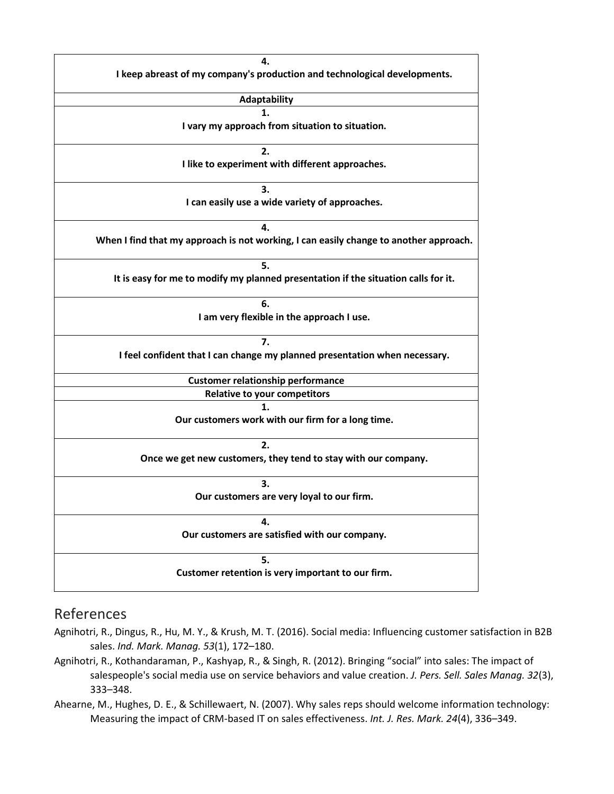

## References

Agnihotri, R., Dingus, R., Hu, M. Y., & Krush, M. T. (2016). Social media: Influencing customer satisfaction in B2B sales. *Ind. Mark. Manag. 53*(1), 172–180.

- Agnihotri, R., Kothandaraman, P., Kashyap, R., & Singh, R. (2012). Bringing "social" into sales: The impact of salespeople's social media use on service behaviors and value creation. *J. Pers. Sell. Sales Manag. 32*(3), 333–348.
- Ahearne, M., Hughes, D. E., & Schillewaert, N. (2007). Why sales reps should welcome information technology: Measuring the impact of CRM-based IT on sales effectiveness. *Int. J. Res. Mark. 24*(4), 336–349.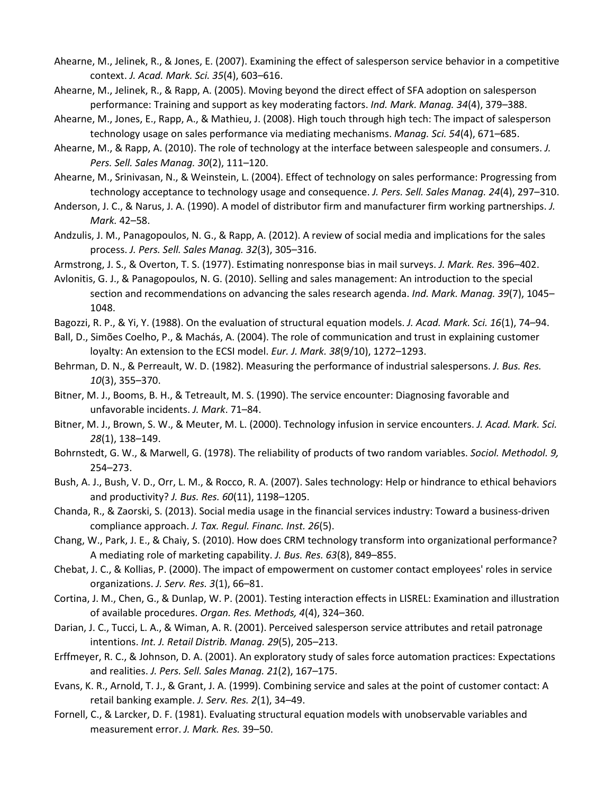- Ahearne, M., Jelinek, R., & Jones, E. (2007). Examining the effect of salesperson service behavior in a competitive context. *J. Acad. Mark. Sci. 35*(4), 603–616.
- Ahearne, M., Jelinek, R., & Rapp, A. (2005). Moving beyond the direct effect of SFA adoption on salesperson performance: Training and support as key moderating factors. *Ind. Mark. Manag. 34*(4), 379–388.
- Ahearne, M., Jones, E., Rapp, A., & Mathieu, J. (2008). High touch through high tech: The impact of salesperson technology usage on sales performance via mediating mechanisms. *Manag. Sci. 54*(4), 671–685.
- Ahearne, M., & Rapp, A. (2010). The role of technology at the interface between salespeople and consumers. *J. Pers. Sell. Sales Manag. 30*(2), 111–120.
- Ahearne, M., Srinivasan, N., & Weinstein, L. (2004). Effect of technology on sales performance: Progressing from technology acceptance to technology usage and consequence. *J. Pers. Sell. Sales Manag. 24*(4), 297–310.
- Anderson, J. C., & Narus, J. A. (1990). A model of distributor firm and manufacturer firm working partnerships. *J. Mark.* 42–58.
- Andzulis, J. M., Panagopoulos, N. G., & Rapp, A. (2012). A review of social media and implications for the sales process. *J. Pers. Sell. Sales Manag. 32*(3), 305–316.
- Armstrong, J. S., & Overton, T. S. (1977). Estimating nonresponse bias in mail surveys. *J. Mark. Res.* 396–402.
- Avlonitis, G. J., & Panagopoulos, N. G. (2010). Selling and sales management: An introduction to the special section and recommendations on advancing the sales research agenda. *Ind. Mark. Manag. 39*(7), 1045– 1048.
- Bagozzi, R. P., & Yi, Y. (1988). On the evaluation of structural equation models. *J. Acad. Mark. Sci. 16*(1), 74–94.
- Ball, D., Simões Coelho, P., & Machás, A. (2004). The role of communication and trust in explaining customer loyalty: An extension to the ECSI model. *Eur. J. Mark. 38*(9/10), 1272–1293.
- Behrman, D. N., & Perreault, W. D. (1982). Measuring the performance of industrial salespersons. *J. Bus. Res. 10*(3), 355–370.
- Bitner, M. J., Booms, B. H., & Tetreault, M. S. (1990). The service encounter: Diagnosing favorable and unfavorable incidents. *J. Mark*. 71–84.
- Bitner, M. J., Brown, S. W., & Meuter, M. L. (2000). Technology infusion in service encounters. *J. Acad. Mark. Sci. 28*(1), 138–149.
- Bohrnstedt, G. W., & Marwell, G. (1978). The reliability of products of two random variables. *Sociol. Methodol. 9,* 254–273.
- Bush, A. J., Bush, V. D., Orr, L. M., & Rocco, R. A. (2007). Sales technology: Help or hindrance to ethical behaviors and productivity? *J. Bus. Res. 60*(11), 1198–1205.
- Chanda, R., & Zaorski, S. (2013). Social media usage in the financial services industry: Toward a business-driven compliance approach. *J. Tax. Regul. Financ. Inst. 26*(5).
- Chang, W., Park, J. E., & Chaiy, S. (2010). How does CRM technology transform into organizational performance? A mediating role of marketing capability. *J. Bus. Res. 63*(8), 849–855.
- Chebat, J. C., & Kollias, P. (2000). The impact of empowerment on customer contact employees' roles in service organizations. *J. Serv. Res. 3*(1), 66–81.
- Cortina, J. M., Chen, G., & Dunlap, W. P. (2001). Testing interaction effects in LISREL: Examination and illustration of available procedures. *Organ. Res. Methods, 4*(4), 324–360.
- Darian, J. C., Tucci, L. A., & Wiman, A. R. (2001). Perceived salesperson service attributes and retail patronage intentions. *Int. J. Retail Distrib. Manag. 29*(5), 205–213.
- Erffmeyer, R. C., & Johnson, D. A. (2001). An exploratory study of sales force automation practices: Expectations and realities. *J. Pers. Sell. Sales Manag. 21*(2), 167–175.
- Evans, K. R., Arnold, T. J., & Grant, J. A. (1999). Combining service and sales at the point of customer contact: A retail banking example. *J. Serv. Res. 2*(1), 34–49.
- Fornell, C., & Larcker, D. F. (1981). Evaluating structural equation models with unobservable variables and measurement error. *J. Mark. Res.* 39–50.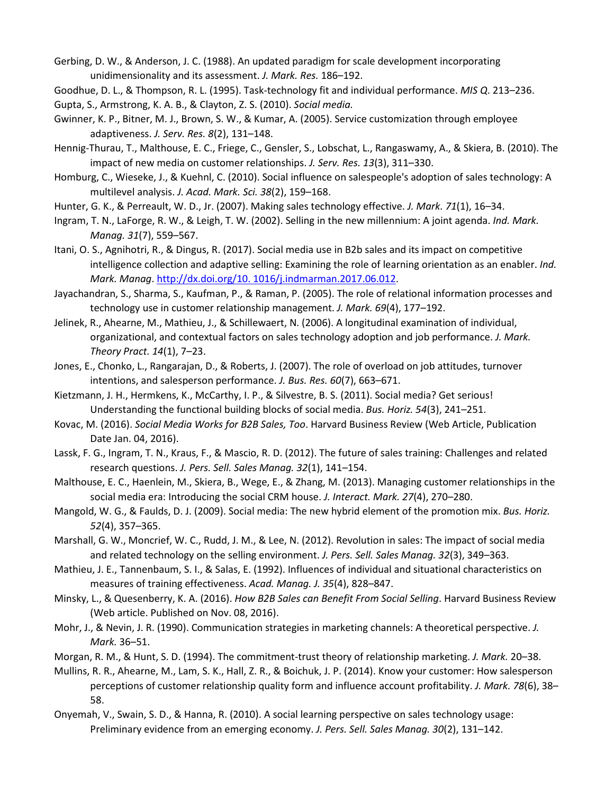Gerbing, D. W., & Anderson, J. C. (1988). An updated paradigm for scale development incorporating unidimensionality and its assessment. *J. Mark. Res.* 186–192.

Goodhue, D. L., & Thompson, R. L. (1995). Task-technology fit and individual performance. *MIS Q*. 213–236.

- Gupta, S., Armstrong, K. A. B., & Clayton, Z. S. (2010). *Social media.*
- Gwinner, K. P., Bitner, M. J., Brown, S. W., & Kumar, A. (2005). Service customization through employee adaptiveness. *J. Serv. Res. 8*(2), 131–148.
- Hennig-Thurau, T., Malthouse, E. C., Friege, C., Gensler, S., Lobschat, L., Rangaswamy, A., & Skiera, B. (2010). The impact of new media on customer relationships. *J. Serv. Res. 13*(3), 311–330.
- Homburg, C., Wieseke, J., & Kuehnl, C. (2010). Social influence on salespeople's adoption of sales technology: A multilevel analysis. *J. Acad. Mark. Sci. 38*(2), 159–168.
- Hunter, G. K., & Perreault, W. D., Jr. (2007). Making sales technology effective. *J. Mark. 71*(1), 16–34.
- Ingram, T. N., LaForge, R. W., & Leigh, T. W. (2002). Selling in the new millennium: A joint agenda. *Ind. Mark. Manag. 31*(7), 559–567.
- Itani, O. S., Agnihotri, R., & Dingus, R. (2017). Social media use in B2b sales and its impact on competitive intelligence collection and adaptive selling: Examining the role of learning orientation as an enabler. *Ind. Mark. Manag*. [http://dx.doi.org/10. 1016/j.indmarman.2017.06.012.](http://dx.doi.org/10.%201016/j.indmarman.2017.06.012)
- Jayachandran, S., Sharma, S., Kaufman, P., & Raman, P. (2005). The role of relational information processes and technology use in customer relationship management. *J. Mark. 69*(4), 177–192.
- Jelinek, R., Ahearne, M., Mathieu, J., & Schillewaert, N. (2006). A longitudinal examination of individual, organizational, and contextual factors on sales technology adoption and job performance. *J. Mark. Theory Pract. 14*(1), 7–23.
- Jones, E., Chonko, L., Rangarajan, D., & Roberts, J. (2007). The role of overload on job attitudes, turnover intentions, and salesperson performance. *J. Bus. Res. 60*(7), 663–671.
- Kietzmann, J. H., Hermkens, K., McCarthy, I. P., & Silvestre, B. S. (2011). Social media? Get serious! Understanding the functional building blocks of social media. *Bus. Horiz. 54*(3), 241–251.
- Kovac, M. (2016). *Social Media Works for B2B Sales, Too*. Harvard Business Review (Web Article, Publication Date Jan. 04, 2016).
- Lassk, F. G., Ingram, T. N., Kraus, F., & Mascio, R. D. (2012). The future of sales training: Challenges and related research questions. *J. Pers. Sell. Sales Manag. 32*(1), 141–154.
- Malthouse, E. C., Haenlein, M., Skiera, B., Wege, E., & Zhang, M. (2013). Managing customer relationships in the social media era: Introducing the social CRM house. *J. Interact. Mark. 27*(4), 270–280.
- Mangold, W. G., & Faulds, D. J. (2009). Social media: The new hybrid element of the promotion mix. *Bus. Horiz. 52*(4), 357–365.
- Marshall, G. W., Moncrief, W. C., Rudd, J. M., & Lee, N. (2012). Revolution in sales: The impact of social media and related technology on the selling environment. *J. Pers. Sell. Sales Manag. 32*(3), 349–363.
- Mathieu, J. E., Tannenbaum, S. I., & Salas, E. (1992). Influences of individual and situational characteristics on measures of training effectiveness. *Acad. Manag. J. 35*(4), 828–847.
- Minsky, L., & Quesenberry, K. A. (2016). *How B2B Sales can Benefit From Social Selling*. Harvard Business Review (Web article. Published on Nov. 08, 2016).
- Mohr, J., & Nevin, J. R. (1990). Communication strategies in marketing channels: A theoretical perspective. *J. Mark.* 36–51.
- Morgan, R. M., & Hunt, S. D. (1994). The commitment-trust theory of relationship marketing. *J. Mark.* 20–38.
- Mullins, R. R., Ahearne, M., Lam, S. K., Hall, Z. R., & Boichuk, J. P. (2014). Know your customer: How salesperson perceptions of customer relationship quality form and influence account profitability. *J. Mark. 78*(6), 38– 58.
- Onyemah, V., Swain, S. D., & Hanna, R. (2010). A social learning perspective on sales technology usage: Preliminary evidence from an emerging economy. *J. Pers. Sell. Sales Manag. 30*(2), 131–142.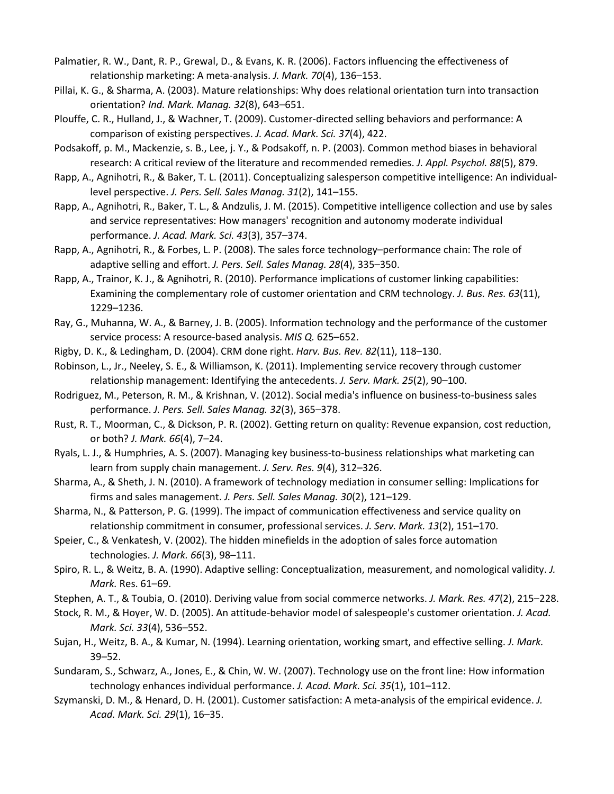- Palmatier, R. W., Dant, R. P., Grewal, D., & Evans, K. R. (2006). Factors influencing the effectiveness of relationship marketing: A meta-analysis. *J. Mark. 70*(4), 136–153.
- Pillai, K. G., & Sharma, A. (2003). Mature relationships: Why does relational orientation turn into transaction orientation? *Ind. Mark. Manag. 32*(8), 643–651.
- Plouffe, C. R., Hulland, J., & Wachner, T. (2009). Customer-directed selling behaviors and performance: A comparison of existing perspectives. *J. Acad. Mark. Sci. 37*(4), 422.
- Podsakoff, p. M., Mackenzie, s. B., Lee, j. Y., & Podsakoff, n. P. (2003). Common method biases in behavioral research: A critical review of the literature and recommended remedies. *J. Appl. Psychol. 88*(5), 879.
- Rapp, A., Agnihotri, R., & Baker, T. L. (2011). Conceptualizing salesperson competitive intelligence: An individuallevel perspective. *J. Pers. Sell. Sales Manag. 31*(2), 141–155.
- Rapp, A., Agnihotri, R., Baker, T. L., & Andzulis, J. M. (2015). Competitive intelligence collection and use by sales and service representatives: How managers' recognition and autonomy moderate individual performance. *J. Acad. Mark. Sci. 43*(3), 357–374.
- Rapp, A., Agnihotri, R., & Forbes, L. P. (2008). The sales force technology–performance chain: The role of adaptive selling and effort. *J. Pers. Sell. Sales Manag. 28*(4), 335–350.
- Rapp, A., Trainor, K. J., & Agnihotri, R. (2010). Performance implications of customer linking capabilities: Examining the complementary role of customer orientation and CRM technology. *J. Bus. Res. 63*(11), 1229–1236.
- Ray, G., Muhanna, W. A., & Barney, J. B. (2005). Information technology and the performance of the customer service process: A resource-based analysis. *MIS Q.* 625–652.
- Rigby, D. K., & Ledingham, D. (2004). CRM done right. *Harv. Bus. Rev. 82*(11), 118–130.
- Robinson, L., Jr., Neeley, S. E., & Williamson, K. (2011). Implementing service recovery through customer relationship management: Identifying the antecedents. *J. Serv. Mark. 25*(2), 90–100.
- Rodriguez, M., Peterson, R. M., & Krishnan, V. (2012). Social media's influence on business-to-business sales performance. *J. Pers. Sell. Sales Manag. 32*(3), 365–378.
- Rust, R. T., Moorman, C., & Dickson, P. R. (2002). Getting return on quality: Revenue expansion, cost reduction, or both? *J. Mark. 66*(4), 7–24.
- Ryals, L. J., & Humphries, A. S. (2007). Managing key business-to-business relationships what marketing can learn from supply chain management. *J. Serv. Res. 9*(4), 312–326.
- Sharma, A., & Sheth, J. N. (2010). A framework of technology mediation in consumer selling: Implications for firms and sales management. *J. Pers. Sell. Sales Manag. 30*(2), 121–129.
- Sharma, N., & Patterson, P. G. (1999). The impact of communication effectiveness and service quality on relationship commitment in consumer, professional services. *J. Serv. Mark. 13*(2), 151–170.
- Speier, C., & Venkatesh, V. (2002). The hidden minefields in the adoption of sales force automation technologies. *J. Mark. 66*(3), 98–111.
- Spiro, R. L., & Weitz, B. A. (1990). Adaptive selling: Conceptualization, measurement, and nomological validity. *J. Mark.* Res. 61–69.
- Stephen, A. T., & Toubia, O. (2010). Deriving value from social commerce networks. *J. Mark. Res. 47*(2), 215–228.
- Stock, R. M., & Hoyer, W. D. (2005). An attitude-behavior model of salespeople's customer orientation. *J. Acad. Mark. Sci. 33*(4), 536–552.
- Sujan, H., Weitz, B. A., & Kumar, N. (1994). Learning orientation, working smart, and effective selling. *J. Mark.* 39–52.
- Sundaram, S., Schwarz, A., Jones, E., & Chin, W. W. (2007). Technology use on the front line: How information technology enhances individual performance. *J. Acad. Mark. Sci. 35*(1), 101–112.
- Szymanski, D. M., & Henard, D. H. (2001). Customer satisfaction: A meta-analysis of the empirical evidence. *J. Acad. Mark. Sci. 29*(1), 16–35.